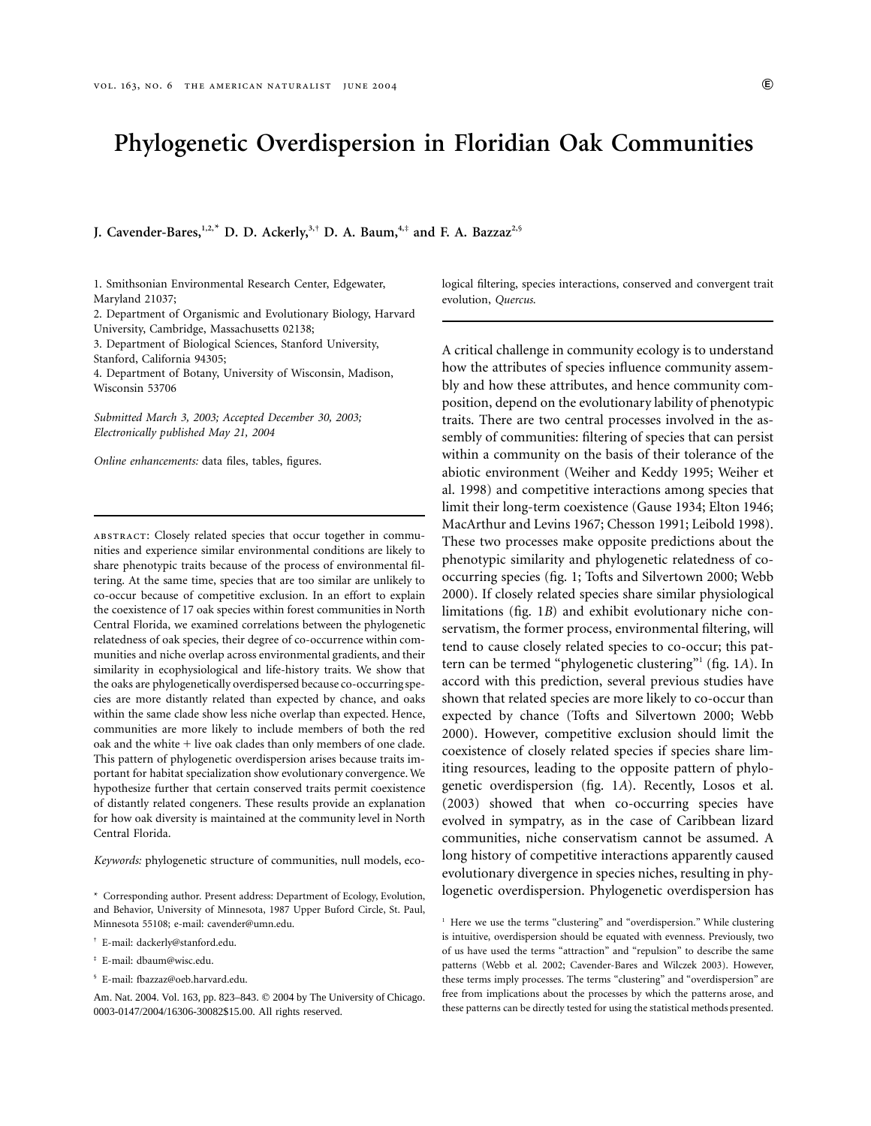# **Phylogenetic Overdispersion in Floridian Oak Communities**

**J. Cavender-Bares,1,2,**\* **D. D. Ackerly,3,**† **D. A. Baum,4,**‡ **and F. A. Bazzaz2,**§

1. Smithsonian Environmental Research Center, Edgewater, Maryland 21037;

2. Department of Organismic and Evolutionary Biology, Harvard University, Cambridge, Massachusetts 02138;

3. Department of Biological Sciences, Stanford University,

Stanford, California 94305; 4. Department of Botany, University of Wisconsin, Madison, Wisconsin 53706

*Submitted March 3, 2003; Accepted December 30, 2003; Electronically published May 21, 2004*

*Online enhancements:* data files, tables, figures.

ABSTRACT: Closely related species that occur together in communities and experience similar environmental conditions are likely to share phenotypic traits because of the process of environmental filtering. At the same time, species that are too similar are unlikely to co-occur because of competitive exclusion. In an effort to explain the coexistence of 17 oak species within forest communities in North Central Florida, we examined correlations between the phylogenetic relatedness of oak species, their degree of co-occurrence within communities and niche overlap across environmental gradients, and their similarity in ecophysiological and life-history traits. We show that the oaks are phylogenetically overdispersed because co-occurring species are more distantly related than expected by chance, and oaks within the same clade show less niche overlap than expected. Hence, communities are more likely to include members of both the red oak and the white  $+$  live oak clades than only members of one clade. This pattern of phylogenetic overdispersion arises because traits important for habitat specialization show evolutionary convergence. We hypothesize further that certain conserved traits permit coexistence of distantly related congeners. These results provide an explanation for how oak diversity is maintained at the community level in North Central Florida.

*Keywords:* phylogenetic structure of communities, null models, eco-

§ E-mail: fbazzaz@oeb.harvard.edu.

logical filtering, species interactions, conserved and convergent trait evolution, *Quercus*.

A critical challenge in community ecology is to understand how the attributes of species influence community assembly and how these attributes, and hence community composition, depend on the evolutionary lability of phenotypic traits. There are two central processes involved in the assembly of communities: filtering of species that can persist within a community on the basis of their tolerance of the abiotic environment (Weiher and Keddy 1995; Weiher et al. 1998) and competitive interactions among species that limit their long-term coexistence (Gause 1934; Elton 1946; MacArthur and Levins 1967; Chesson 1991; Leibold 1998). These two processes make opposite predictions about the phenotypic similarity and phylogenetic relatedness of cooccurring species (fig. 1; Tofts and Silvertown 2000; Webb 2000). If closely related species share similar physiological limitations (fig. 1*B*) and exhibit evolutionary niche conservatism, the former process, environmental filtering, will tend to cause closely related species to co-occur; this pattern can be termed "phylogenetic clustering"1 (fig. 1*A*). In accord with this prediction, several previous studies have shown that related species are more likely to co-occur than expected by chance (Tofts and Silvertown 2000; Webb 2000). However, competitive exclusion should limit the coexistence of closely related species if species share limiting resources, leading to the opposite pattern of phylogenetic overdispersion (fig. 1*A*). Recently, Losos et al. (2003) showed that when co-occurring species have evolved in sympatry, as in the case of Caribbean lizard communities, niche conservatism cannot be assumed. A long history of competitive interactions apparently caused evolutionary divergence in species niches, resulting in phylogenetic overdispersion. Phylogenetic overdispersion has

<sup>\*</sup> Corresponding author. Present address: Department of Ecology, Evolution, and Behavior, University of Minnesota, 1987 Upper Buford Circle, St. Paul, Minnesota 55108; e-mail: cavender@umn.edu.

<sup>†</sup> E-mail: dackerly@stanford.edu.

<sup>‡</sup> E-mail: dbaum@wisc.edu.

Am. Nat. 2004. Vol. 163, pp. 823–843. © 2004 by The University of Chicago. 0003-0147/2004/16306-30082\$15.00. All rights reserved.

<sup>&</sup>lt;sup>1</sup> Here we use the terms "clustering" and "overdispersion." While clustering is intuitive, overdispersion should be equated with evenness. Previously, two of us have used the terms "attraction" and "repulsion" to describe the same patterns (Webb et al. 2002; Cavender-Bares and Wilczek 2003). However, these terms imply processes. The terms "clustering" and "overdispersion" are free from implications about the processes by which the patterns arose, and these patterns can be directly tested for using the statistical methods presented.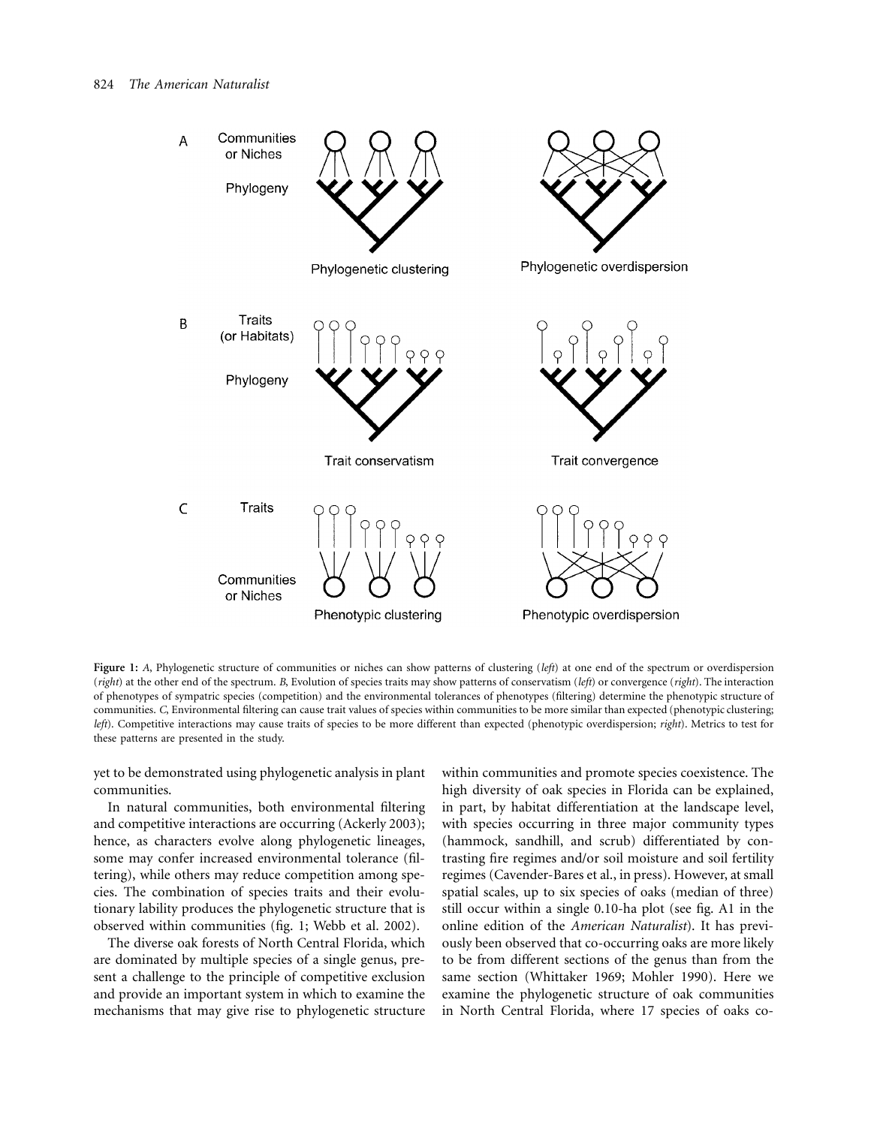

**Figure 1:** *A*, Phylogenetic structure of communities or niches can show patterns of clustering (*left*) at one end of the spectrum or overdispersion (*right*) at the other end of the spectrum. *B*, Evolution of species traits may show patterns of conservatism (*left*) or convergence (*right*). The interaction of phenotypes of sympatric species (competition) and the environmental tolerances of phenotypes (filtering) determine the phenotypic structure of communities. *C*, Environmental filtering can cause trait values of species within communities to be more similar than expected (phenotypic clustering; *left*). Competitive interactions may cause traits of species to be more different than expected (phenotypic overdispersion; *right*). Metrics to test for these patterns are presented in the study.

yet to be demonstrated using phylogenetic analysis in plant communities.

In natural communities, both environmental filtering and competitive interactions are occurring (Ackerly 2003); hence, as characters evolve along phylogenetic lineages, some may confer increased environmental tolerance (filtering), while others may reduce competition among species. The combination of species traits and their evolutionary lability produces the phylogenetic structure that is observed within communities (fig. 1; Webb et al. 2002).

The diverse oak forests of North Central Florida, which are dominated by multiple species of a single genus, present a challenge to the principle of competitive exclusion and provide an important system in which to examine the mechanisms that may give rise to phylogenetic structure within communities and promote species coexistence. The high diversity of oak species in Florida can be explained, in part, by habitat differentiation at the landscape level, with species occurring in three major community types (hammock, sandhill, and scrub) differentiated by contrasting fire regimes and/or soil moisture and soil fertility regimes (Cavender-Bares et al., in press). However, at small spatial scales, up to six species of oaks (median of three) still occur within a single 0.10-ha plot (see fig. A1 in the online edition of the *American Naturalist*). It has previously been observed that co-occurring oaks are more likely to be from different sections of the genus than from the same section (Whittaker 1969; Mohler 1990). Here we examine the phylogenetic structure of oak communities in North Central Florida, where 17 species of oaks co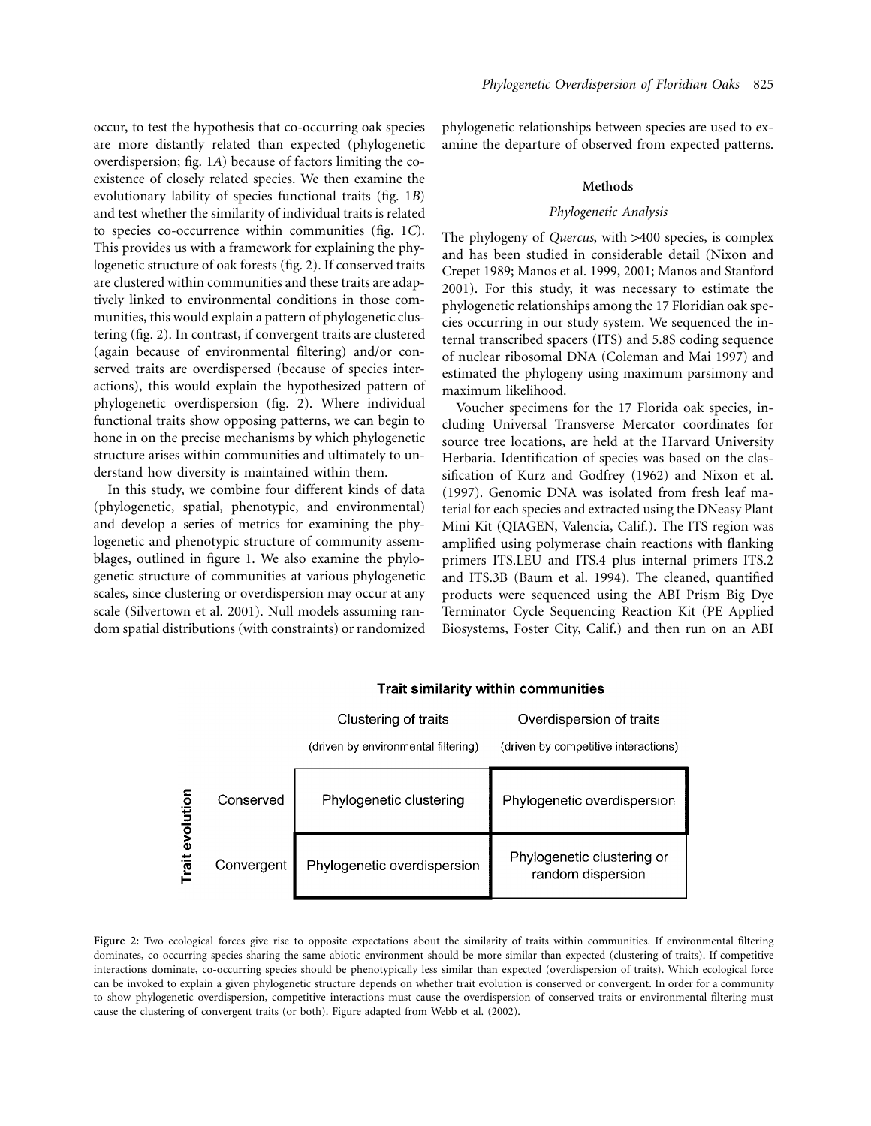occur, to test the hypothesis that co-occurring oak species are more distantly related than expected (phylogenetic overdispersion; fig. 1*A*) because of factors limiting the coexistence of closely related species. We then examine the evolutionary lability of species functional traits (fig. 1*B*) and test whether the similarity of individual traits is related to species co-occurrence within communities (fig. 1*C*). This provides us with a framework for explaining the phylogenetic structure of oak forests (fig. 2). If conserved traits are clustered within communities and these traits are adaptively linked to environmental conditions in those communities, this would explain a pattern of phylogenetic clustering (fig. 2). In contrast, if convergent traits are clustered (again because of environmental filtering) and/or conserved traits are overdispersed (because of species interactions), this would explain the hypothesized pattern of phylogenetic overdispersion (fig. 2). Where individual functional traits show opposing patterns, we can begin to hone in on the precise mechanisms by which phylogenetic structure arises within communities and ultimately to understand how diversity is maintained within them.

In this study, we combine four different kinds of data (phylogenetic, spatial, phenotypic, and environmental) and develop a series of metrics for examining the phylogenetic and phenotypic structure of community assemblages, outlined in figure 1. We also examine the phylogenetic structure of communities at various phylogenetic scales, since clustering or overdispersion may occur at any scale (Silvertown et al. 2001). Null models assuming random spatial distributions (with constraints) or randomized

phylogenetic relationships between species are used to examine the departure of observed from expected patterns.

# **Methods**

# *Phylogenetic Analysis*

The phylogeny of *Quercus*, with  $>400$  species, is complex and has been studied in considerable detail (Nixon and Crepet 1989; Manos et al. 1999, 2001; Manos and Stanford 2001). For this study, it was necessary to estimate the phylogenetic relationships among the 17 Floridian oak species occurring in our study system. We sequenced the internal transcribed spacers (ITS) and 5.8S coding sequence of nuclear ribosomal DNA (Coleman and Mai 1997) and estimated the phylogeny using maximum parsimony and maximum likelihood.

Voucher specimens for the 17 Florida oak species, including Universal Transverse Mercator coordinates for source tree locations, are held at the Harvard University Herbaria. Identification of species was based on the classification of Kurz and Godfrey (1962) and Nixon et al. (1997). Genomic DNA was isolated from fresh leaf material for each species and extracted using the DNeasy Plant Mini Kit (QIAGEN, Valencia, Calif.). The ITS region was amplified using polymerase chain reactions with flanking primers ITS.LEU and ITS.4 plus internal primers ITS.2 and ITS.3B (Baum et al. 1994). The cleaned, quantified products were sequenced using the ABI Prism Big Dye Terminator Cycle Sequencing Reaction Kit (PE Applied Biosystems, Foster City, Calif.) and then run on an ABI



# Trait similarity within communities

**Figure 2:** Two ecological forces give rise to opposite expectations about the similarity of traits within communities. If environmental filtering dominates, co-occurring species sharing the same abiotic environment should be more similar than expected (clustering of traits). If competitive interactions dominate, co-occurring species should be phenotypically less similar than expected (overdispersion of traits). Which ecological force can be invoked to explain a given phylogenetic structure depends on whether trait evolution is conserved or convergent. In order for a community to show phylogenetic overdispersion, competitive interactions must cause the overdispersion of conserved traits or environmental filtering must cause the clustering of convergent traits (or both). Figure adapted from Webb et al. (2002).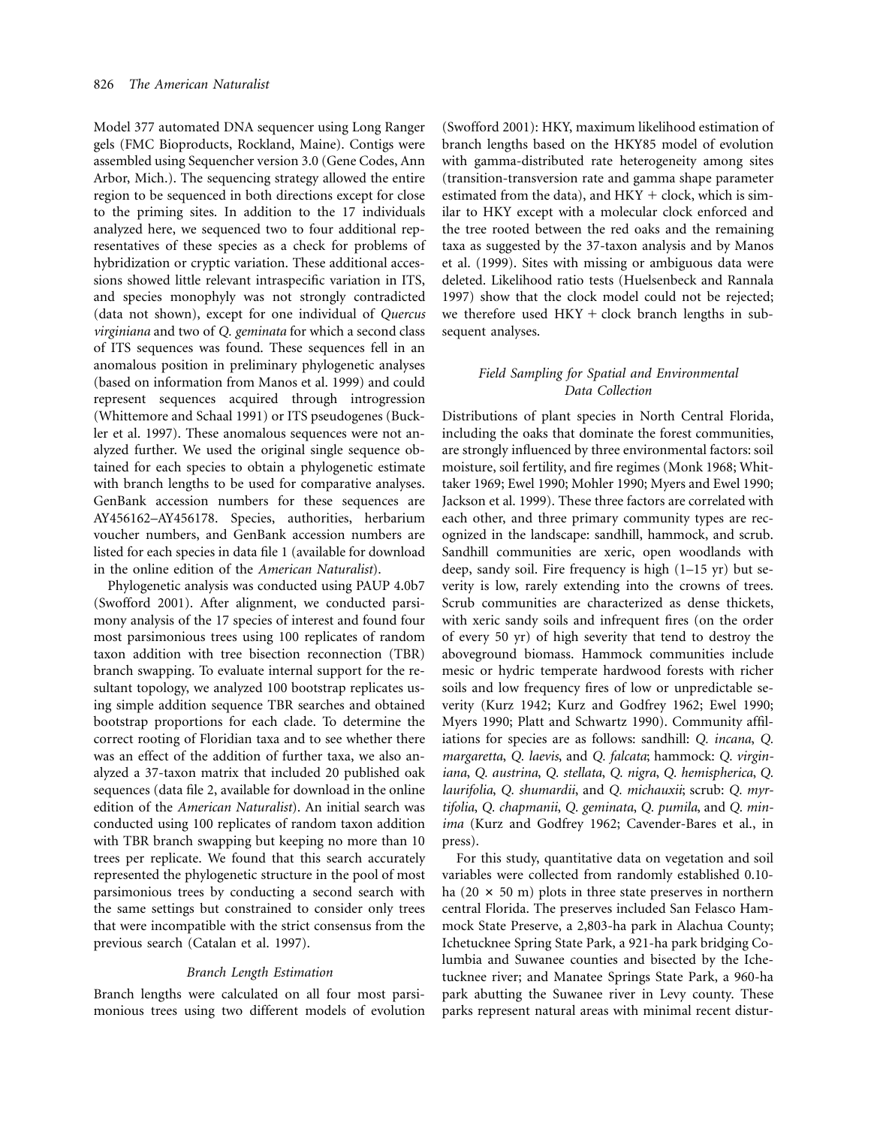Model 377 automated DNA sequencer using Long Ranger gels (FMC Bioproducts, Rockland, Maine). Contigs were assembled using Sequencher version 3.0 (Gene Codes, Ann Arbor, Mich.). The sequencing strategy allowed the entire region to be sequenced in both directions except for close to the priming sites. In addition to the 17 individuals analyzed here, we sequenced two to four additional representatives of these species as a check for problems of hybridization or cryptic variation. These additional accessions showed little relevant intraspecific variation in ITS, and species monophyly was not strongly contradicted (data not shown), except for one individual of *Quercus virginiana* and two of *Q. geminata* for which a second class of ITS sequences was found. These sequences fell in an anomalous position in preliminary phylogenetic analyses (based on information from Manos et al. 1999) and could represent sequences acquired through introgression (Whittemore and Schaal 1991) or ITS pseudogenes (Buckler et al. 1997). These anomalous sequences were not analyzed further. We used the original single sequence obtained for each species to obtain a phylogenetic estimate with branch lengths to be used for comparative analyses. GenBank accession numbers for these sequences are AY456162–AY456178. Species, authorities, herbarium voucher numbers, and GenBank accession numbers are listed for each species in data file 1 (available for download in the online edition of the *American Naturalist*).

Phylogenetic analysis was conducted using PAUP 4.0b7 (Swofford 2001). After alignment, we conducted parsimony analysis of the 17 species of interest and found four most parsimonious trees using 100 replicates of random taxon addition with tree bisection reconnection (TBR) branch swapping. To evaluate internal support for the resultant topology, we analyzed 100 bootstrap replicates using simple addition sequence TBR searches and obtained bootstrap proportions for each clade. To determine the correct rooting of Floridian taxa and to see whether there was an effect of the addition of further taxa, we also analyzed a 37-taxon matrix that included 20 published oak sequences (data file 2, available for download in the online edition of the *American Naturalist*). An initial search was conducted using 100 replicates of random taxon addition with TBR branch swapping but keeping no more than 10 trees per replicate. We found that this search accurately represented the phylogenetic structure in the pool of most parsimonious trees by conducting a second search with the same settings but constrained to consider only trees that were incompatible with the strict consensus from the previous search (Catalan et al. 1997).

#### *Branch Length Estimation*

Branch lengths were calculated on all four most parsimonious trees using two different models of evolution

(Swofford 2001): HKY, maximum likelihood estimation of branch lengths based on the HKY85 model of evolution with gamma-distributed rate heterogeneity among sites (transition-transversion rate and gamma shape parameter estimated from the data), and  $HKY + clock$ , which is similar to HKY except with a molecular clock enforced and the tree rooted between the red oaks and the remaining taxa as suggested by the 37-taxon analysis and by Manos et al. (1999). Sites with missing or ambiguous data were deleted. Likelihood ratio tests (Huelsenbeck and Rannala 1997) show that the clock model could not be rejected; we therefore used  $HKY + clock$  branch lengths in subsequent analyses.

# *Field Sampling for Spatial and Environmental Data Collection*

Distributions of plant species in North Central Florida, including the oaks that dominate the forest communities, are strongly influenced by three environmental factors: soil moisture, soil fertility, and fire regimes (Monk 1968; Whittaker 1969; Ewel 1990; Mohler 1990; Myers and Ewel 1990; Jackson et al. 1999). These three factors are correlated with each other, and three primary community types are recognized in the landscape: sandhill, hammock, and scrub. Sandhill communities are xeric, open woodlands with deep, sandy soil. Fire frequency is high (1–15 yr) but severity is low, rarely extending into the crowns of trees. Scrub communities are characterized as dense thickets, with xeric sandy soils and infrequent fires (on the order of every 50 yr) of high severity that tend to destroy the aboveground biomass. Hammock communities include mesic or hydric temperate hardwood forests with richer soils and low frequency fires of low or unpredictable severity (Kurz 1942; Kurz and Godfrey 1962; Ewel 1990; Myers 1990; Platt and Schwartz 1990). Community affiliations for species are as follows: sandhill: *Q. incana*, *Q. margaretta*, *Q. laevis*, and *Q. falcata*; hammock: *Q. virginiana*, *Q. austrina*, *Q. stellata*, *Q. nigra*, *Q. hemispherica*, *Q. laurifolia*, *Q. shumardii*, and *Q. michauxii*; scrub: *Q. myrtifolia*, *Q. chapmanii*, *Q. geminata*, *Q. pumila*, and *Q. minima* (Kurz and Godfrey 1962; Cavender-Bares et al., in press).

For this study, quantitative data on vegetation and soil variables were collected from randomly established 0.10 ha ( $20 \times 50$  m) plots in three state preserves in northern central Florida. The preserves included San Felasco Hammock State Preserve, a 2,803-ha park in Alachua County; Ichetucknee Spring State Park, a 921-ha park bridging Columbia and Suwanee counties and bisected by the Ichetucknee river; and Manatee Springs State Park, a 960-ha park abutting the Suwanee river in Levy county. These parks represent natural areas with minimal recent distur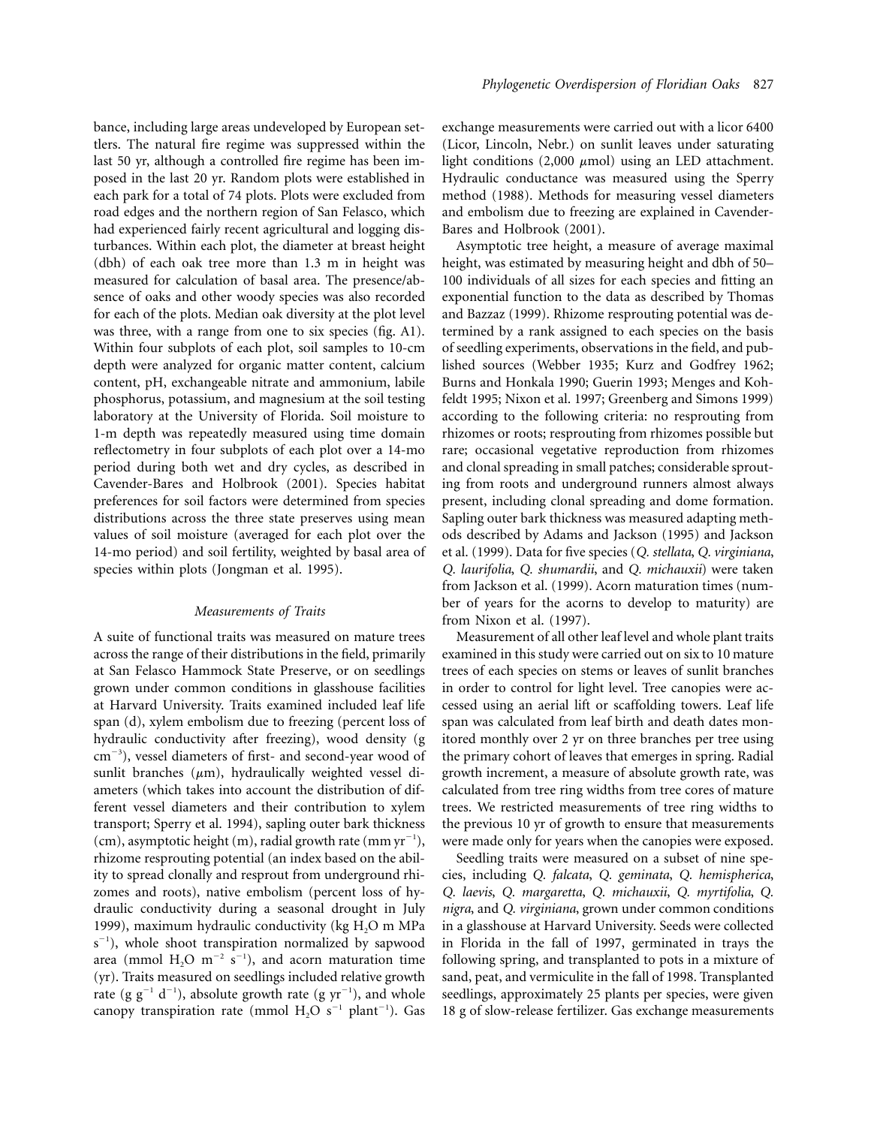bance, including large areas undeveloped by European settlers. The natural fire regime was suppressed within the last 50 yr, although a controlled fire regime has been imposed in the last 20 yr. Random plots were established in each park for a total of 74 plots. Plots were excluded from road edges and the northern region of San Felasco, which had experienced fairly recent agricultural and logging disturbances. Within each plot, the diameter at breast height (dbh) of each oak tree more than 1.3 m in height was measured for calculation of basal area. The presence/absence of oaks and other woody species was also recorded for each of the plots. Median oak diversity at the plot level was three, with a range from one to six species (fig. A1). Within four subplots of each plot, soil samples to 10-cm depth were analyzed for organic matter content, calcium content, pH, exchangeable nitrate and ammonium, labile phosphorus, potassium, and magnesium at the soil testing laboratory at the University of Florida. Soil moisture to 1-m depth was repeatedly measured using time domain reflectometry in four subplots of each plot over a 14-mo period during both wet and dry cycles, as described in Cavender-Bares and Holbrook (2001). Species habitat preferences for soil factors were determined from species distributions across the three state preserves using mean values of soil moisture (averaged for each plot over the 14-mo period) and soil fertility, weighted by basal area of species within plots (Jongman et al. 1995).

# *Measurements of Traits*

A suite of functional traits was measured on mature trees across the range of their distributions in the field, primarily at San Felasco Hammock State Preserve, or on seedlings grown under common conditions in glasshouse facilities at Harvard University. Traits examined included leaf life span (d), xylem embolism due to freezing (percent loss of hydraulic conductivity after freezing), wood density (g cm-3 ), vessel diameters of first- and second-year wood of sunlit branches  $(\mu m)$ , hydraulically weighted vessel diameters (which takes into account the distribution of different vessel diameters and their contribution to xylem transport; Sperry et al. 1994), sapling outer bark thickness (cm), asymptotic height (m), radial growth rate (mm  $\text{yr}^{-1}$ ), rhizome resprouting potential (an index based on the ability to spread clonally and resprout from underground rhizomes and roots), native embolism (percent loss of hydraulic conductivity during a seasonal drought in July 1999), maximum hydraulic conductivity ( $kg H<sub>2</sub>O$  m MPa s -1 ), whole shoot transpiration normalized by sapwood area (mmol  $H_2O$  m<sup>-2</sup> s<sup>-1</sup>), and acorn maturation time (yr). Traits measured on seedlings included relative growth rate (g  $g^{-1}$  d<sup>-1</sup>), absolute growth rate (g  $yr^{-1}$ ), and whole canopy transpiration rate (mmol  $H_2O s^{-1}$  plant<sup>-1</sup>). Gas

exchange measurements were carried out with a licor 6400 (Licor, Lincoln, Nebr.) on sunlit leaves under saturating light conditions  $(2,000 \mu \text{mol})$  using an LED attachment. Hydraulic conductance was measured using the Sperry method (1988). Methods for measuring vessel diameters and embolism due to freezing are explained in Cavender-Bares and Holbrook (2001).

Asymptotic tree height, a measure of average maximal height, was estimated by measuring height and dbh of 50– 100 individuals of all sizes for each species and fitting an exponential function to the data as described by Thomas and Bazzaz (1999). Rhizome resprouting potential was determined by a rank assigned to each species on the basis of seedling experiments, observations in the field, and published sources (Webber 1935; Kurz and Godfrey 1962; Burns and Honkala 1990; Guerin 1993; Menges and Kohfeldt 1995; Nixon et al. 1997; Greenberg and Simons 1999) according to the following criteria: no resprouting from rhizomes or roots; resprouting from rhizomes possible but rare; occasional vegetative reproduction from rhizomes and clonal spreading in small patches; considerable sprouting from roots and underground runners almost always present, including clonal spreading and dome formation. Sapling outer bark thickness was measured adapting methods described by Adams and Jackson (1995) and Jackson et al. (1999). Data for five species (*Q. stellata*, *Q. virginiana*, *Q. laurifolia*, *Q. shumardii*, and *Q. michauxii*) were taken from Jackson et al. (1999). Acorn maturation times (number of years for the acorns to develop to maturity) are from Nixon et al. (1997).

Measurement of all other leaf level and whole plant traits examined in this study were carried out on six to 10 mature trees of each species on stems or leaves of sunlit branches in order to control for light level. Tree canopies were accessed using an aerial lift or scaffolding towers. Leaf life span was calculated from leaf birth and death dates monitored monthly over 2 yr on three branches per tree using the primary cohort of leaves that emerges in spring. Radial growth increment, a measure of absolute growth rate, was calculated from tree ring widths from tree cores of mature trees. We restricted measurements of tree ring widths to the previous 10 yr of growth to ensure that measurements were made only for years when the canopies were exposed.

Seedling traits were measured on a subset of nine species, including *Q. falcata*, *Q. geminata*, *Q. hemispherica*, *Q. laevis*, *Q. margaretta*, *Q. michauxii*, *Q. myrtifolia*, *Q. nigra*, and *Q. virginiana*, grown under common conditions in a glasshouse at Harvard University. Seeds were collected in Florida in the fall of 1997, germinated in trays the following spring, and transplanted to pots in a mixture of sand, peat, and vermiculite in the fall of 1998. Transplanted seedlings, approximately 25 plants per species, were given 18 g of slow-release fertilizer. Gas exchange measurements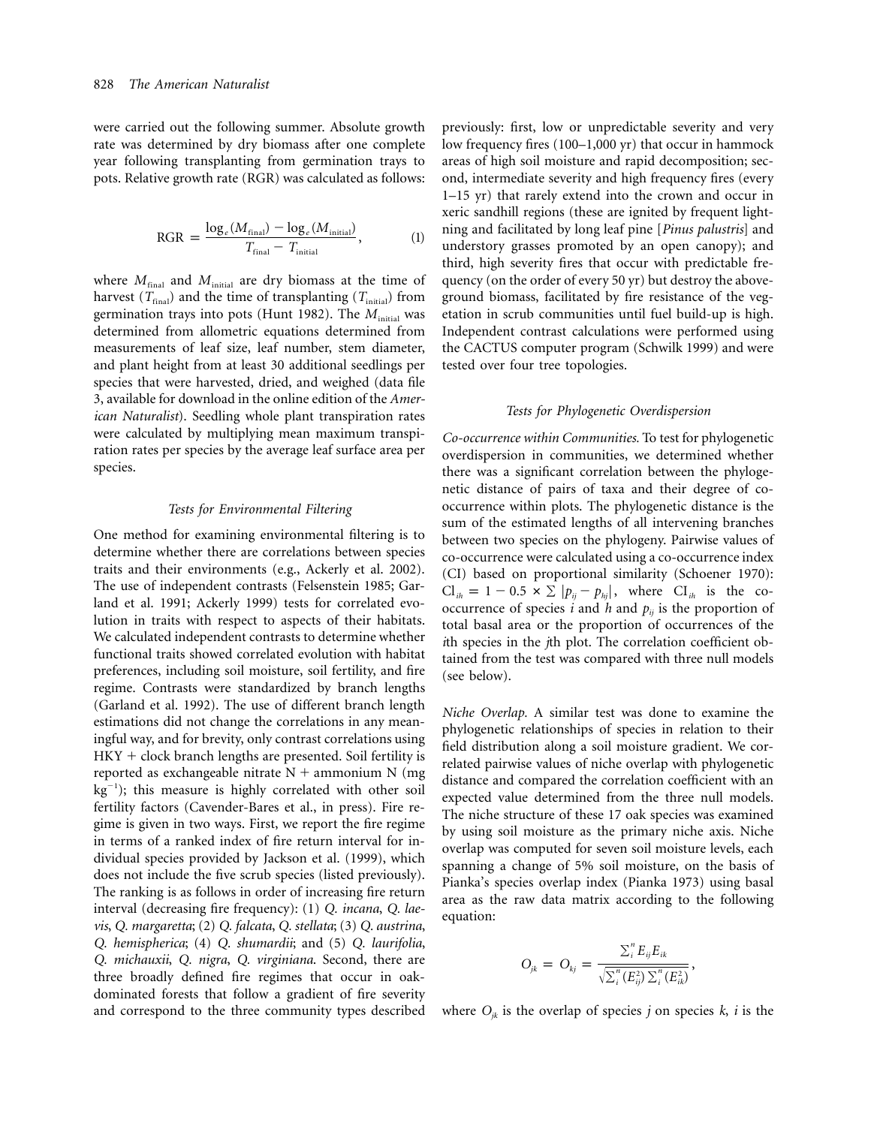were carried out the following summer. Absolute growth rate was determined by dry biomass after one complete year following transplanting from germination trays to pots. Relative growth rate (RGR) was calculated as follows:

$$
RGR = \frac{\log_e(M_{\text{final}}) - \log_e(M_{\text{initial}})}{T_{\text{final}} - T_{\text{initial}}},
$$
 (1)

where  $M_{\text{final}}$  and  $M_{\text{initial}}$  are dry biomass at the time of harvest  $(T<sub>final</sub>)$  and the time of transplanting  $(T<sub>initial</sub>)$  from germination trays into pots (Hunt 1982). The  $M<sub>initial</sub>$  was determined from allometric equations determined from measurements of leaf size, leaf number, stem diameter, and plant height from at least 30 additional seedlings per species that were harvested, dried, and weighed (data file 3, available for download in the online edition of the *American Naturalist*). Seedling whole plant transpiration rates were calculated by multiplying mean maximum transpiration rates per species by the average leaf surface area per species.

#### *Tests for Environmental Filtering*

One method for examining environmental filtering is to determine whether there are correlations between species traits and their environments (e.g., Ackerly et al. 2002). The use of independent contrasts (Felsenstein 1985; Garland et al. 1991; Ackerly 1999) tests for correlated evolution in traits with respect to aspects of their habitats. We calculated independent contrasts to determine whether functional traits showed correlated evolution with habitat preferences, including soil moisture, soil fertility, and fire regime. Contrasts were standardized by branch lengths (Garland et al. 1992). The use of different branch length estimations did not change the correlations in any meaningful way, and for brevity, only contrast correlations using  $HKY + clock branch lengths are presented. Soil fertility is$ reported as exchangeable nitrate  $N +$  ammonium N (mg kg-1 ); this measure is highly correlated with other soil fertility factors (Cavender-Bares et al., in press). Fire regime is given in two ways. First, we report the fire regime in terms of a ranked index of fire return interval for individual species provided by Jackson et al. (1999), which does not include the five scrub species (listed previously). The ranking is as follows in order of increasing fire return interval (decreasing fire frequency): (1) *Q. incana*, *Q. laevis*, *Q. margaretta*; (2) *Q. falcata*, *Q. stellata*; (3) *Q. austrina*, *Q. hemispherica*; (4) *Q. shumardii*; and (5) *Q. laurifolia*, *Q. michauxii*, *Q. nigra*, *Q. virginiana*. Second, there are three broadly defined fire regimes that occur in oakdominated forests that follow a gradient of fire severity and correspond to the three community types described

previously: first, low or unpredictable severity and very low frequency fires (100–1,000 yr) that occur in hammock areas of high soil moisture and rapid decomposition; second, intermediate severity and high frequency fires (every 1–15 yr) that rarely extend into the crown and occur in xeric sandhill regions (these are ignited by frequent lightning and facilitated by long leaf pine [*Pinus palustris*] and understory grasses promoted by an open canopy); and third, high severity fires that occur with predictable frequency (on the order of every 50 yr) but destroy the aboveground biomass, facilitated by fire resistance of the vegetation in scrub communities until fuel build-up is high. Independent contrast calculations were performed using the CACTUS computer program (Schwilk 1999) and were tested over four tree topologies.

#### *Tests for Phylogenetic Overdispersion*

*Co-occurrence within Communities.* To test for phylogenetic overdispersion in communities, we determined whether there was a significant correlation between the phylogenetic distance of pairs of taxa and their degree of cooccurrence within plots. The phylogenetic distance is the sum of the estimated lengths of all intervening branches between two species on the phylogeny. Pairwise values of co-occurrence were calculated using a co-occurrence index (CI) based on proportional similarity (Schoener 1970):  $\text{Cl}_{ih} = 1 - 0.5 \times \sum |p_{ij} - p_{hj}|$ , where  $\text{Cl}_{ih}$  is the cooccurrence of species *i* and *h* and  $p_{ij}$  is the proportion of total basal area or the proportion of occurrences of the *i*th species in the *j*th plot. The correlation coefficient obtained from the test was compared with three null models (see below).

*Niche Overlap.* A similar test was done to examine the phylogenetic relationships of species in relation to their field distribution along a soil moisture gradient. We correlated pairwise values of niche overlap with phylogenetic distance and compared the correlation coefficient with an expected value determined from the three null models. The niche structure of these 17 oak species was examined by using soil moisture as the primary niche axis. Niche overlap was computed for seven soil moisture levels, each spanning a change of 5% soil moisture, on the basis of Pianka's species overlap index (Pianka 1973) using basal area as the raw data matrix according to the following equation:

$$
O_{jk} = O_{kj} = \frac{\sum_{i}^{n} E_{ij} E_{ik}}{\sqrt{\sum_{i}^{n} (E_{ij}^{2}) \sum_{i}^{n} (E_{ik}^{2})}},
$$

where  $O_{ik}$  is the overlap of species *j* on species *k*, *i* is the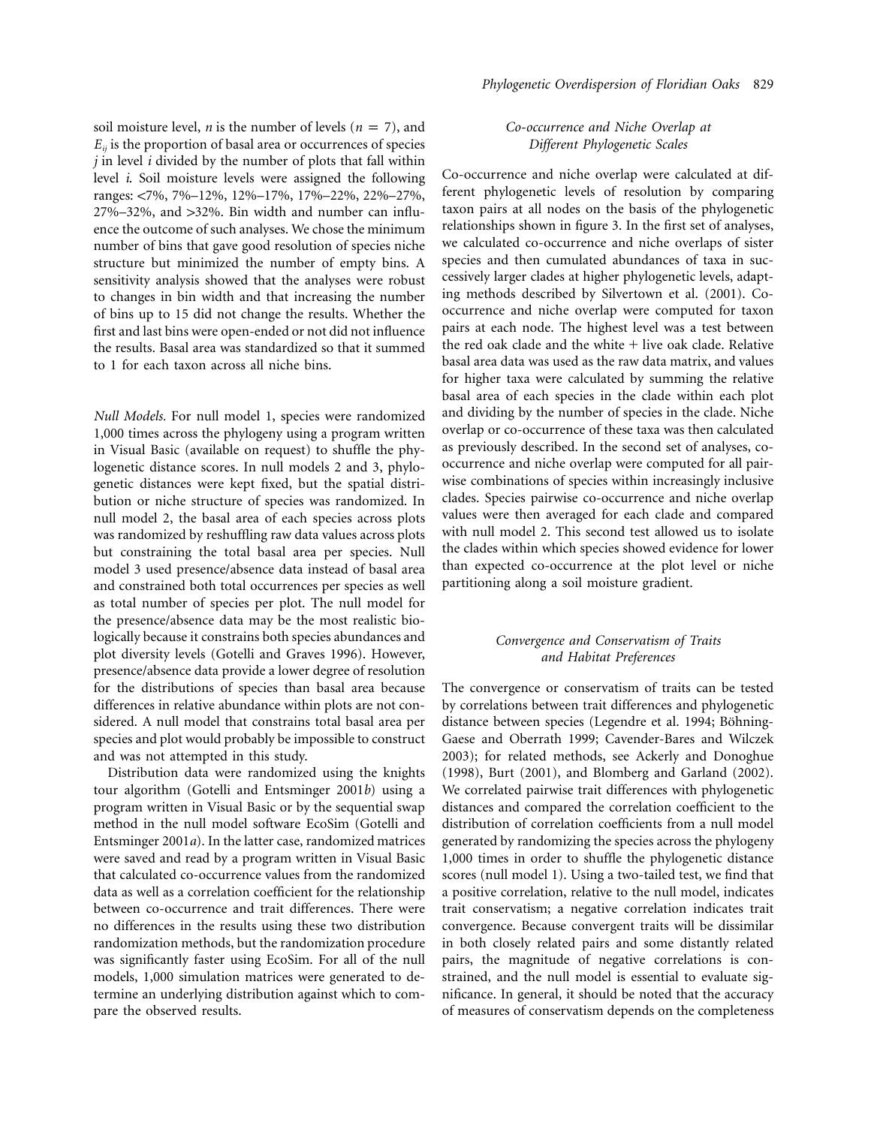soil moisture level, *n* is the number of levels ( $n = 7$ ), and  $E_{ii}$  is the proportion of basal area or occurrences of species *j* in level *i* divided by the number of plots that fall within level *i*. Soil moisture levels were assigned the following ranges: <7%, 7%-12%, 12%-17%, 17%-22%, 22%-27%,  $27\% - 32\%$ , and  $> 32\%$ . Bin width and number can influence the outcome of such analyses. We chose the minimum number of bins that gave good resolution of species niche structure but minimized the number of empty bins. A sensitivity analysis showed that the analyses were robust to changes in bin width and that increasing the number of bins up to 15 did not change the results. Whether the first and last bins were open-ended or not did not influence the results. Basal area was standardized so that it summed to 1 for each taxon across all niche bins.

*Null Models.* For null model 1, species were randomized 1,000 times across the phylogeny using a program written in Visual Basic (available on request) to shuffle the phylogenetic distance scores. In null models 2 and 3, phylogenetic distances were kept fixed, but the spatial distribution or niche structure of species was randomized. In null model 2, the basal area of each species across plots was randomized by reshuffling raw data values across plots but constraining the total basal area per species. Null model 3 used presence/absence data instead of basal area and constrained both total occurrences per species as well as total number of species per plot. The null model for the presence/absence data may be the most realistic biologically because it constrains both species abundances and plot diversity levels (Gotelli and Graves 1996). However, presence/absence data provide a lower degree of resolution for the distributions of species than basal area because differences in relative abundance within plots are not considered. A null model that constrains total basal area per species and plot would probably be impossible to construct and was not attempted in this study.

Distribution data were randomized using the knights tour algorithm (Gotelli and Entsminger 2001*b*) using a program written in Visual Basic or by the sequential swap method in the null model software EcoSim (Gotelli and Entsminger 2001*a*). In the latter case, randomized matrices were saved and read by a program written in Visual Basic that calculated co-occurrence values from the randomized data as well as a correlation coefficient for the relationship between co-occurrence and trait differences. There were no differences in the results using these two distribution randomization methods, but the randomization procedure was significantly faster using EcoSim. For all of the null models, 1,000 simulation matrices were generated to determine an underlying distribution against which to compare the observed results.

*Co-occurrence and Niche Overlap at Different Phylogenetic Scales*

Co-occurrence and niche overlap were calculated at different phylogenetic levels of resolution by comparing taxon pairs at all nodes on the basis of the phylogenetic relationships shown in figure 3. In the first set of analyses, we calculated co-occurrence and niche overlaps of sister species and then cumulated abundances of taxa in successively larger clades at higher phylogenetic levels, adapting methods described by Silvertown et al. (2001). Cooccurrence and niche overlap were computed for taxon pairs at each node. The highest level was a test between the red oak clade and the white  $+$  live oak clade. Relative basal area data was used as the raw data matrix, and values for higher taxa were calculated by summing the relative basal area of each species in the clade within each plot and dividing by the number of species in the clade. Niche overlap or co-occurrence of these taxa was then calculated as previously described. In the second set of analyses, cooccurrence and niche overlap were computed for all pairwise combinations of species within increasingly inclusive clades. Species pairwise co-occurrence and niche overlap values were then averaged for each clade and compared with null model 2. This second test allowed us to isolate the clades within which species showed evidence for lower than expected co-occurrence at the plot level or niche partitioning along a soil moisture gradient.

# *Convergence and Conservatism of Traits and Habitat Preferences*

The convergence or conservatism of traits can be tested by correlations between trait differences and phylogenetic distance between species (Legendre et al. 1994; Böhning-Gaese and Oberrath 1999; Cavender-Bares and Wilczek 2003); for related methods, see Ackerly and Donoghue (1998), Burt (2001), and Blomberg and Garland (2002). We correlated pairwise trait differences with phylogenetic distances and compared the correlation coefficient to the distribution of correlation coefficients from a null model generated by randomizing the species across the phylogeny 1,000 times in order to shuffle the phylogenetic distance scores (null model 1). Using a two-tailed test, we find that a positive correlation, relative to the null model, indicates trait conservatism; a negative correlation indicates trait convergence. Because convergent traits will be dissimilar in both closely related pairs and some distantly related pairs, the magnitude of negative correlations is constrained, and the null model is essential to evaluate significance. In general, it should be noted that the accuracy of measures of conservatism depends on the completeness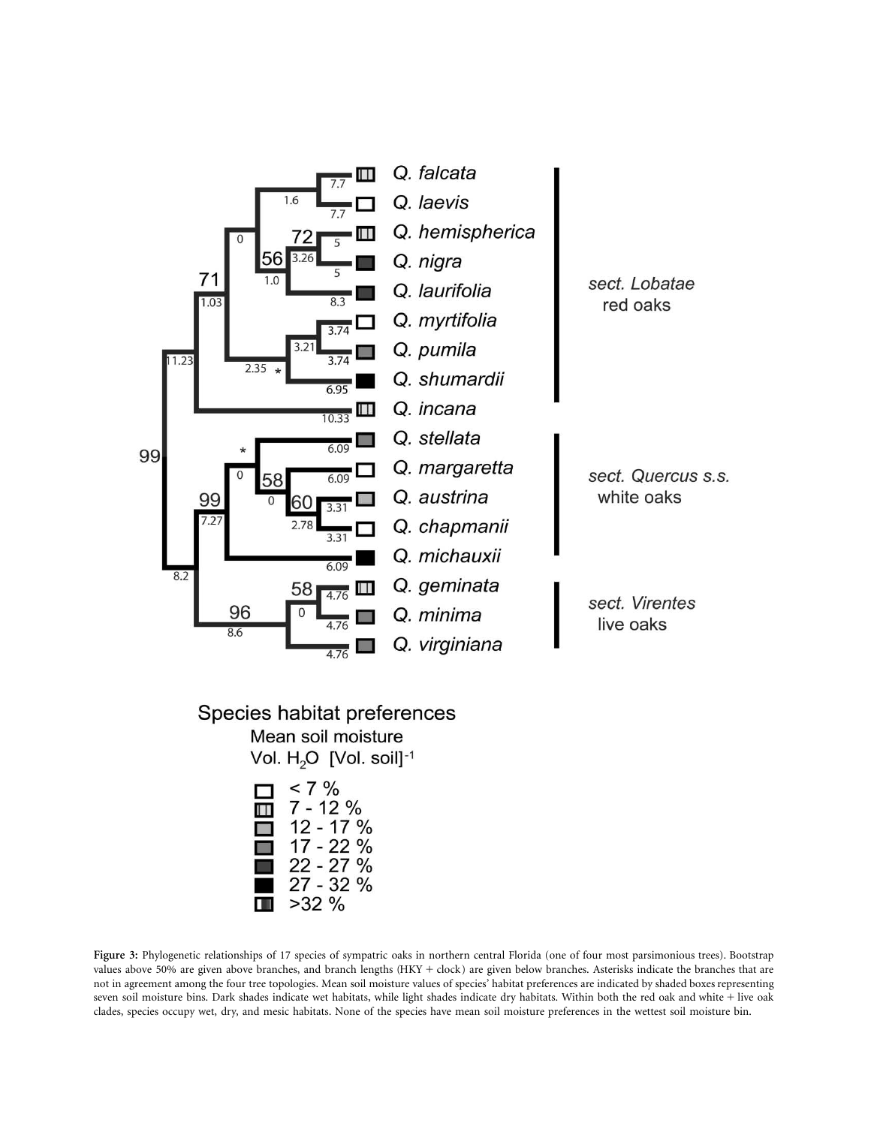

Mean soil moisture Vol. H<sub>2</sub>O [Vol. soil]-1

| $< 7 \%$   |
|------------|
| 7 - 12 %   |
| 12 - 17 %  |
| 17 - 22 %  |
| $22 - 27%$ |
| 27 - 32 %  |
| $>32\%$    |

**Figure 3:** Phylogenetic relationships of 17 species of sympatric oaks in northern central Florida (one of four most parsimonious trees). Bootstrap values above 50% are given above branches, and branch lengths (HKY + clock) are given below branches. Asterisks indicate the branches that are not in agreement among the four tree topologies. Mean soil moisture values of species' habitat preferences are indicated by shaded boxes representing seven soil moisture bins. Dark shades indicate wet habitats, while light shades indicate dry habitats. Within both the red oak and white + live oak clades, species occupy wet, dry, and mesic habitats. None of the species have mean soil moisture preferences in the wettest soil moisture bin.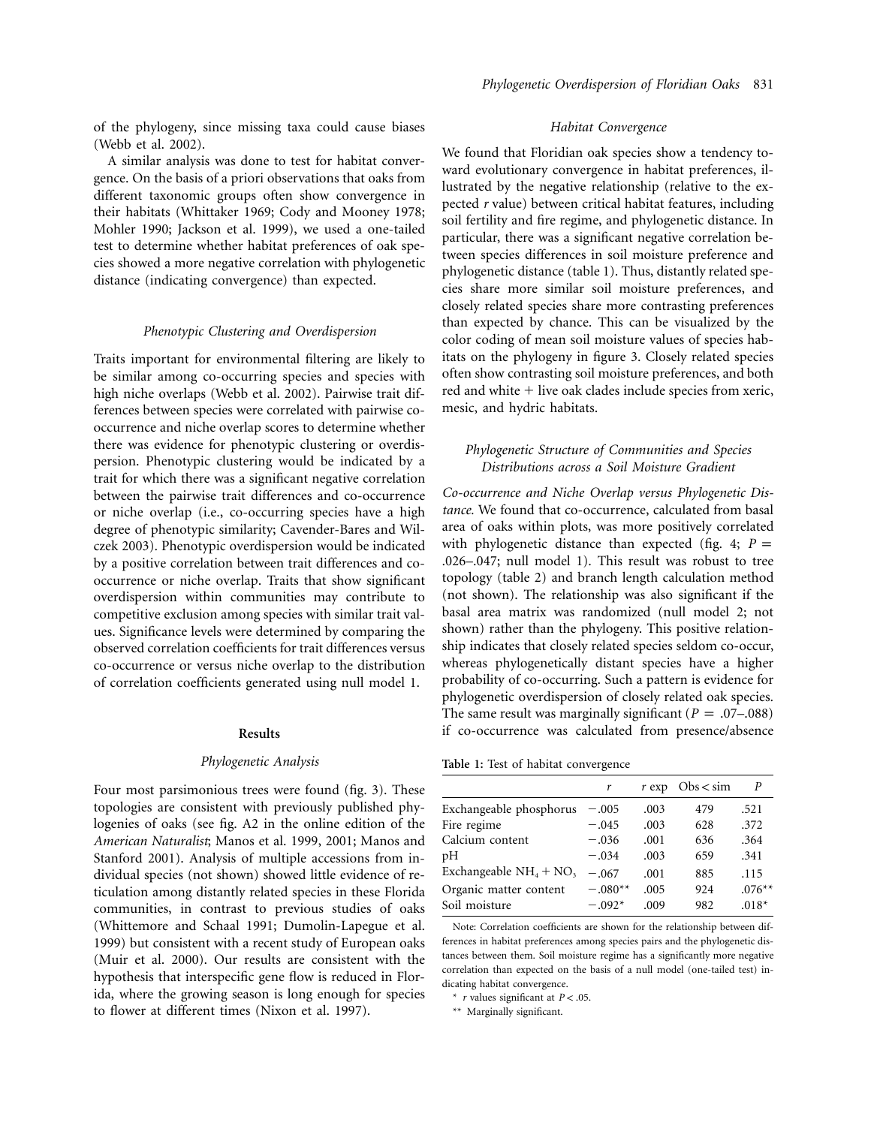of the phylogeny, since missing taxa could cause biases (Webb et al. 2002).

A similar analysis was done to test for habitat convergence. On the basis of a priori observations that oaks from different taxonomic groups often show convergence in their habitats (Whittaker 1969; Cody and Mooney 1978; Mohler 1990; Jackson et al. 1999), we used a one-tailed test to determine whether habitat preferences of oak species showed a more negative correlation with phylogenetic distance (indicating convergence) than expected.

## *Phenotypic Clustering and Overdispersion*

Traits important for environmental filtering are likely to be similar among co-occurring species and species with high niche overlaps (Webb et al. 2002). Pairwise trait differences between species were correlated with pairwise cooccurrence and niche overlap scores to determine whether there was evidence for phenotypic clustering or overdispersion. Phenotypic clustering would be indicated by a trait for which there was a significant negative correlation between the pairwise trait differences and co-occurrence or niche overlap (i.e., co-occurring species have a high degree of phenotypic similarity; Cavender-Bares and Wilczek 2003). Phenotypic overdispersion would be indicated by a positive correlation between trait differences and cooccurrence or niche overlap. Traits that show significant overdispersion within communities may contribute to competitive exclusion among species with similar trait values. Significance levels were determined by comparing the observed correlation coefficients for trait differences versus co-occurrence or versus niche overlap to the distribution of correlation coefficients generated using null model 1.

### **Results**

## *Phylogenetic Analysis*

Four most parsimonious trees were found (fig. 3). These topologies are consistent with previously published phylogenies of oaks (see fig. A2 in the online edition of the *American Naturalist*; Manos et al. 1999, 2001; Manos and Stanford 2001). Analysis of multiple accessions from individual species (not shown) showed little evidence of reticulation among distantly related species in these Florida communities, in contrast to previous studies of oaks (Whittemore and Schaal 1991; Dumolin-Lapegue et al. 1999) but consistent with a recent study of European oaks (Muir et al. 2000). Our results are consistent with the hypothesis that interspecific gene flow is reduced in Florida, where the growing season is long enough for species to flower at different times (Nixon et al. 1997).

# *Habitat Convergence*

We found that Floridian oak species show a tendency toward evolutionary convergence in habitat preferences, illustrated by the negative relationship (relative to the expected *r* value) between critical habitat features, including soil fertility and fire regime, and phylogenetic distance. In particular, there was a significant negative correlation between species differences in soil moisture preference and phylogenetic distance (table 1). Thus, distantly related species share more similar soil moisture preferences, and closely related species share more contrasting preferences than expected by chance. This can be visualized by the color coding of mean soil moisture values of species habitats on the phylogeny in figure 3. Closely related species often show contrasting soil moisture preferences, and both  $red$  and white  $+$  live oak clades include species from xeric, mesic, and hydric habitats.

# *Phylogenetic Structure of Communities and Species Distributions across a Soil Moisture Gradient*

*Co-occurrence and Niche Overlap versus Phylogenetic Distance.* We found that co-occurrence, calculated from basal area of oaks within plots, was more positively correlated with phylogenetic distance than expected (fig. 4;  $P =$ .026–.047; null model 1). This result was robust to tree topology (table 2) and branch length calculation method (not shown). The relationship was also significant if the basal area matrix was randomized (null model 2; not shown) rather than the phylogeny. This positive relationship indicates that closely related species seldom co-occur, whereas phylogenetically distant species have a higher probability of co-occurring. Such a pattern is evidence for phylogenetic overdispersion of closely related oak species. The same result was marginally significant ( $P = .07 - .088$ ) if co-occurrence was calculated from presence/absence

| Table 1: Test of habitat convergence |
|--------------------------------------|
|--------------------------------------|

|                            |           | $r$ exp | Obs < sim | P        |
|----------------------------|-----------|---------|-----------|----------|
| Exchangeable phosphorus    | $-.005$   | .003    | 479       | .521     |
| Fire regime                | $-.045$   | .003    | 628       | .372     |
| Calcium content            | $-.036$   | .001    | 636       | .364     |
| pН                         | $-.034$   | .003    | 659       | .341     |
| Exchangeable $NH_4 + NO_3$ | $-.067$   | .001    | 885       | .115     |
| Organic matter content     | $-.080**$ | .005    | 924       | $.076**$ |
| Soil moisture              | $-.092*$  | .009    | 982       | $.018*$  |

Note: Correlation coefficients are shown for the relationship between differences in habitat preferences among species pairs and the phylogenetic distances between them. Soil moisture regime has a significantly more negative correlation than expected on the basis of a null model (one-tailed test) indicating habitat convergence.

\* *r* values significant at  $P < .05$ .

\*\* Marginally significant.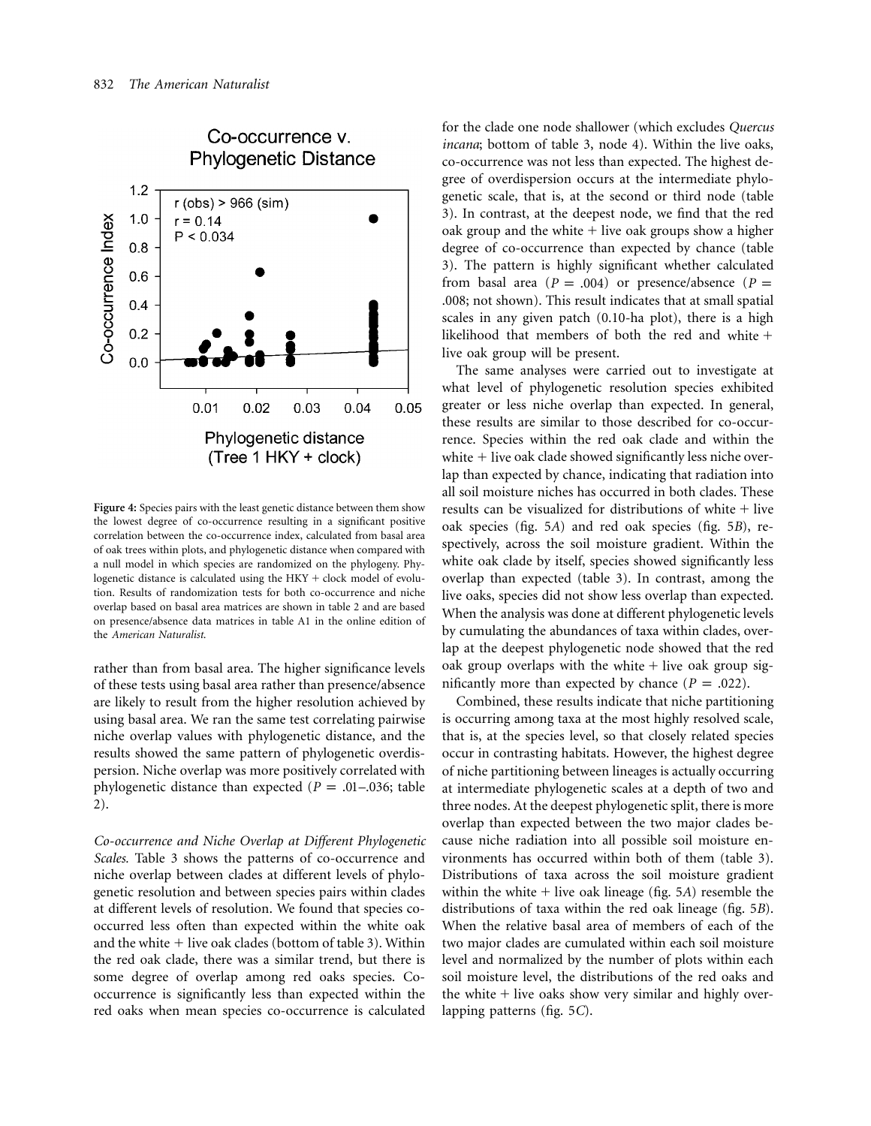

**Figure 4:** Species pairs with the least genetic distance between them show the lowest degree of co-occurrence resulting in a significant positive correlation between the co-occurrence index, calculated from basal area of oak trees within plots, and phylogenetic distance when compared with a null model in which species are randomized on the phylogeny. Phylogenetic distance is calculated using the  $HKY + clock$  model of evolution. Results of randomization tests for both co-occurrence and niche overlap based on basal area matrices are shown in table 2 and are based on presence/absence data matrices in table A1 in the online edition of the *American Naturalist*.

rather than from basal area. The higher significance levels of these tests using basal area rather than presence/absence are likely to result from the higher resolution achieved by using basal area. We ran the same test correlating pairwise niche overlap values with phylogenetic distance, and the results showed the same pattern of phylogenetic overdispersion. Niche overlap was more positively correlated with phylogenetic distance than expected ( $P = .01-.036$ ; table 2).

*Co-occurrence and Niche Overlap at Different Phylogenetic Scales.* Table 3 shows the patterns of co-occurrence and niche overlap between clades at different levels of phylogenetic resolution and between species pairs within clades at different levels of resolution. We found that species cooccurred less often than expected within the white oak and the white  $+$  live oak clades (bottom of table 3). Within the red oak clade, there was a similar trend, but there is some degree of overlap among red oaks species. Cooccurrence is significantly less than expected within the red oaks when mean species co-occurrence is calculated

for the clade one node shallower (which excludes *Quercus incana*; bottom of table 3, node 4). Within the live oaks, co-occurrence was not less than expected. The highest degree of overdispersion occurs at the intermediate phylogenetic scale, that is, at the second or third node (table 3). In contrast, at the deepest node, we find that the red oak group and the white  $+$  live oak groups show a higher degree of co-occurrence than expected by chance (table 3). The pattern is highly significant whether calculated from basal area  $(P = .004)$  or presence/absence  $(P = .004)$ .008; not shown). This result indicates that at small spatial scales in any given patch (0.10-ha plot), there is a high likelihood that members of both the red and white live oak group will be present.

The same analyses were carried out to investigate at what level of phylogenetic resolution species exhibited greater or less niche overlap than expected. In general, these results are similar to those described for co-occurrence. Species within the red oak clade and within the white  $+$  live oak clade showed significantly less niche overlap than expected by chance, indicating that radiation into all soil moisture niches has occurred in both clades. These results can be visualized for distributions of white  $+$  live oak species (fig. 5*A*) and red oak species (fig. 5*B*), respectively, across the soil moisture gradient. Within the white oak clade by itself, species showed significantly less overlap than expected (table 3). In contrast, among the live oaks, species did not show less overlap than expected. When the analysis was done at different phylogenetic levels by cumulating the abundances of taxa within clades, overlap at the deepest phylogenetic node showed that the red oak group overlaps with the white  $+$  live oak group significantly more than expected by chance  $(P = .022)$ .

Combined, these results indicate that niche partitioning is occurring among taxa at the most highly resolved scale, that is, at the species level, so that closely related species occur in contrasting habitats. However, the highest degree of niche partitioning between lineages is actually occurring at intermediate phylogenetic scales at a depth of two and three nodes. At the deepest phylogenetic split, there is more overlap than expected between the two major clades because niche radiation into all possible soil moisture environments has occurred within both of them (table 3). Distributions of taxa across the soil moisture gradient within the white  $+$  live oak lineage (fig. 5A) resemble the distributions of taxa within the red oak lineage (fig. 5*B*). When the relative basal area of members of each of the two major clades are cumulated within each soil moisture level and normalized by the number of plots within each soil moisture level, the distributions of the red oaks and the white  $+$  live oaks show very similar and highly overlapping patterns (fig. 5*C*).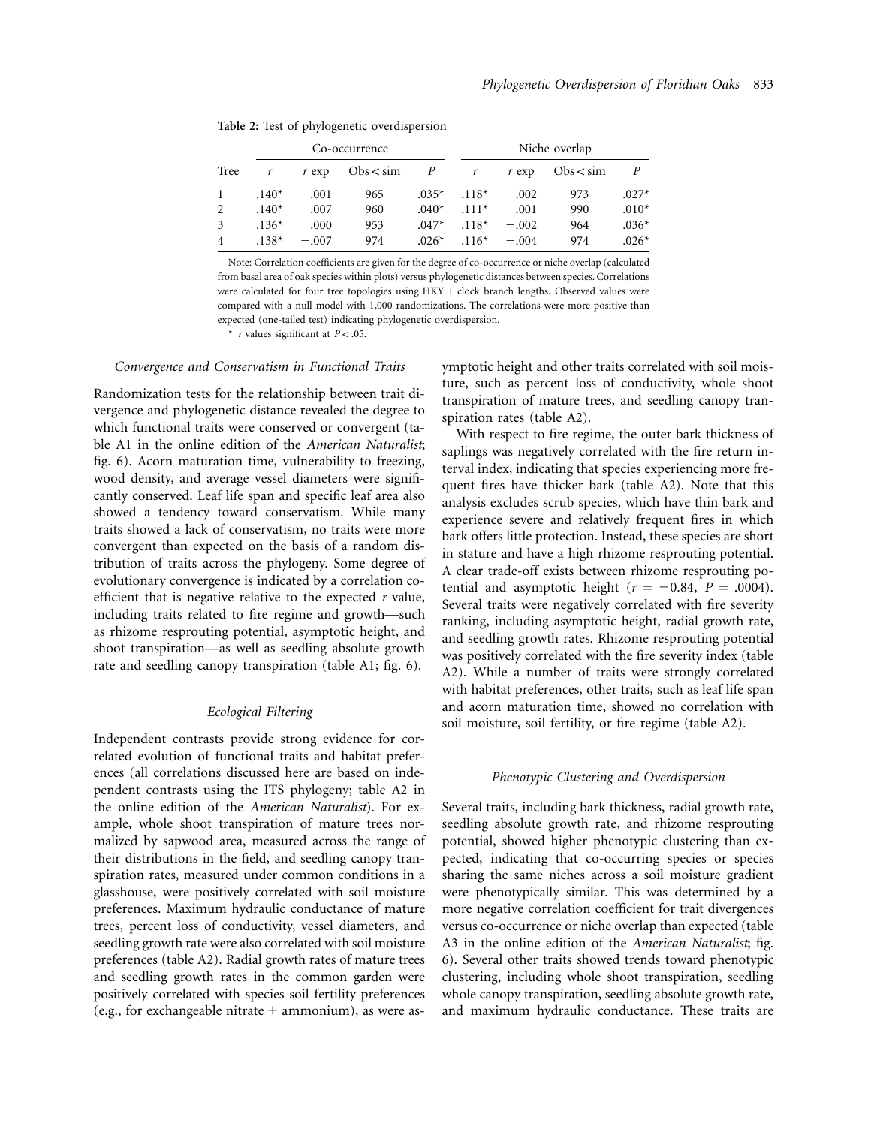$-.002$  964  $.036*$ 

 $-.004$  974 .026<sup>\*</sup>

| Co-occurrence |         |         |           |         | Niche overlap |                 |           |         |
|---------------|---------|---------|-----------|---------|---------------|-----------------|-----------|---------|
| Tree          |         | $r$ exp | Obs < sim |         | r             | $r$ exp         | Obs < sim |         |
|               | $.140*$ | $-.001$ | 965       | $.035*$ |               | $.118^* - .002$ | 973       | $.027*$ |
|               | $.140*$ | .007    | 960       | $.040*$ |               | $.111* - .001$  | 990       | $.010*$ |

 $.007$  974  $.026^*$   $.116^*$  -

3 .136\* .000 953 .047\* .118\* -

**Table 2:** Test of phylogenetic overdispersion

Note: Correlation coefficients are given for the degree of co-occurrence or niche overlap (calculated from basal area of oak species within plots) versus phylogenetic distances between species. Correlations were calculated for four tree topologies using  $HKY + clock$  branch lengths. Observed values were compared with a null model with 1,000 randomizations. The correlations were more positive than expected (one-tailed test) indicating phylogenetic overdispersion.

\*  $r$  values significant at  $P < .05$ .

4  $.138^*$  - 007

#### *Convergence and Conservatism in Functional Traits*

Randomization tests for the relationship between trait divergence and phylogenetic distance revealed the degree to which functional traits were conserved or convergent (table A1 in the online edition of the *American Naturalist*; fig. 6). Acorn maturation time, vulnerability to freezing, wood density, and average vessel diameters were significantly conserved. Leaf life span and specific leaf area also showed a tendency toward conservatism. While many traits showed a lack of conservatism, no traits were more convergent than expected on the basis of a random distribution of traits across the phylogeny. Some degree of evolutionary convergence is indicated by a correlation coefficient that is negative relative to the expected *r* value, including traits related to fire regime and growth—such as rhizome resprouting potential, asymptotic height, and shoot transpiration—as well as seedling absolute growth rate and seedling canopy transpiration (table A1; fig. 6).

# *Ecological Filtering*

Independent contrasts provide strong evidence for correlated evolution of functional traits and habitat preferences (all correlations discussed here are based on independent contrasts using the ITS phylogeny; table A2 in the online edition of the *American Naturalist*). For example, whole shoot transpiration of mature trees normalized by sapwood area, measured across the range of their distributions in the field, and seedling canopy transpiration rates, measured under common conditions in a glasshouse, were positively correlated with soil moisture preferences. Maximum hydraulic conductance of mature trees, percent loss of conductivity, vessel diameters, and seedling growth rate were also correlated with soil moisture preferences (table A2). Radial growth rates of mature trees and seedling growth rates in the common garden were positively correlated with species soil fertility preferences (e.g., for exchangeable nitrate  $+$  ammonium), as were asymptotic height and other traits correlated with soil moisture, such as percent loss of conductivity, whole shoot transpiration of mature trees, and seedling canopy transpiration rates (table A2).

With respect to fire regime, the outer bark thickness of saplings was negatively correlated with the fire return interval index, indicating that species experiencing more frequent fires have thicker bark (table A2). Note that this analysis excludes scrub species, which have thin bark and experience severe and relatively frequent fires in which bark offers little protection. Instead, these species are short in stature and have a high rhizome resprouting potential. A clear trade-off exists between rhizome resprouting potential and asymptotic height ( $r = -0.84$ ,  $P = .0004$ ). Several traits were negatively correlated with fire severity ranking, including asymptotic height, radial growth rate, and seedling growth rates. Rhizome resprouting potential was positively correlated with the fire severity index (table A2). While a number of traits were strongly correlated with habitat preferences, other traits, such as leaf life span and acorn maturation time, showed no correlation with soil moisture, soil fertility, or fire regime (table A2).

# *Phenotypic Clustering and Overdispersion*

Several traits, including bark thickness, radial growth rate, seedling absolute growth rate, and rhizome resprouting potential, showed higher phenotypic clustering than expected, indicating that co-occurring species or species sharing the same niches across a soil moisture gradient were phenotypically similar. This was determined by a more negative correlation coefficient for trait divergences versus co-occurrence or niche overlap than expected (table A3 in the online edition of the *American Naturalist*; fig. 6). Several other traits showed trends toward phenotypic clustering, including whole shoot transpiration, seedling whole canopy transpiration, seedling absolute growth rate, and maximum hydraulic conductance. These traits are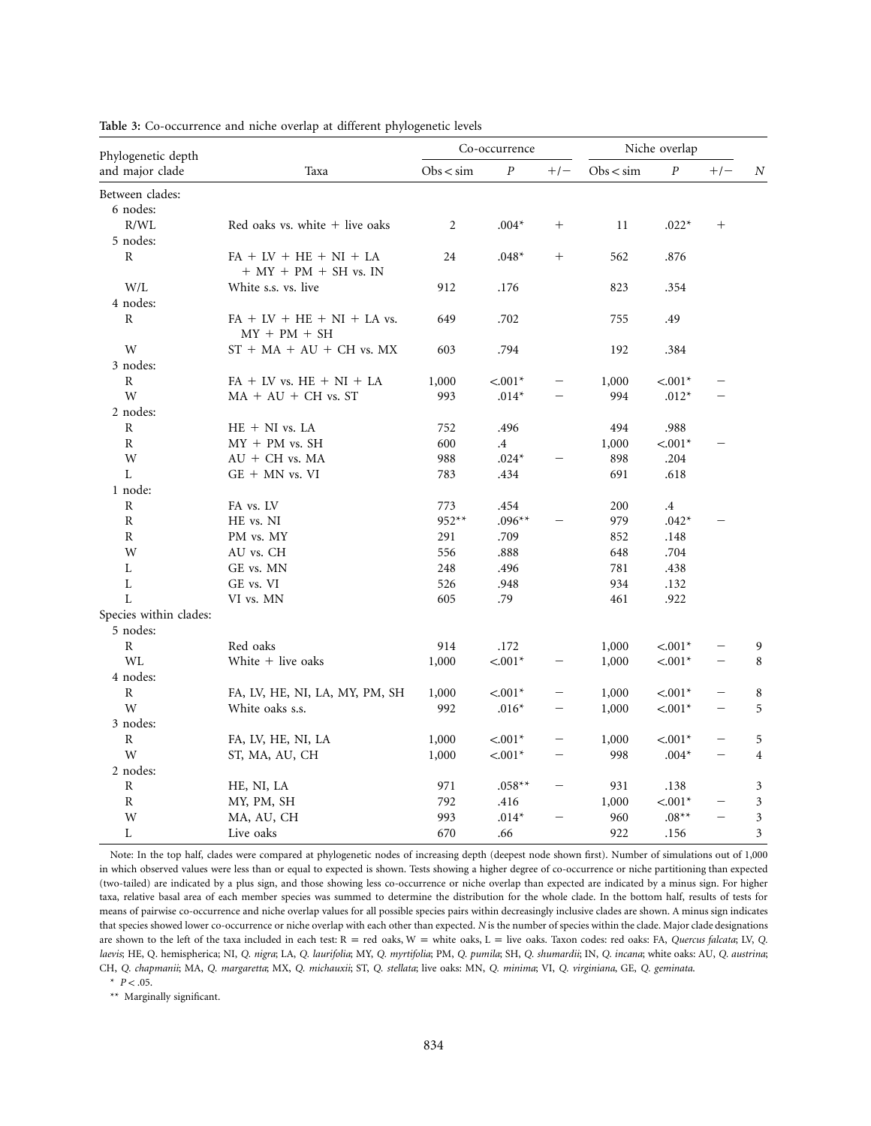| Phylogenetic depth     |                                                     | Co-occurrence |                  |                          | Niche overlap |                  |                          |                  |
|------------------------|-----------------------------------------------------|---------------|------------------|--------------------------|---------------|------------------|--------------------------|------------------|
| and major clade        | Taxa                                                | Obs < sim     | $\boldsymbol{P}$ | $+/-$                    | Obs < sim     | $\boldsymbol{P}$ | $+/-$                    | $\boldsymbol{N}$ |
| Between clades:        |                                                     |               |                  |                          |               |                  |                          |                  |
| 6 nodes:               |                                                     |               |                  |                          |               |                  |                          |                  |
| R/WL                   | Red oaks vs. white $+$ live oaks                    | 2             | $.004*$          | $^{+}$                   | 11            | $.022*$          | $^{+}$                   |                  |
| 5 nodes:               |                                                     |               |                  |                          |               |                  |                          |                  |
| R                      | $FA + LV + HE + NI + LA$<br>$+ MY + PM + SH vs. IN$ | 24            | $.048*$          | $^{+}$                   | 562           | .876             |                          |                  |
| W/L                    | White s.s. vs. live                                 | 912           | .176             |                          | 823           | .354             |                          |                  |
| 4 nodes:               |                                                     |               |                  |                          |               |                  |                          |                  |
| R                      | $FA + LV + HE + NI + LA$ vs.<br>$MY + PM + SH$      | 649           | .702             |                          | 755           | .49              |                          |                  |
| W                      | $ST + MA + AU + CH$ vs. MX                          | 603           | .794             |                          | 192           | .384             |                          |                  |
| 3 nodes:               |                                                     |               |                  |                          |               |                  |                          |                  |
| R                      | $FA + LV$ vs. $HE + NI + LA$                        | 1,000         | $< 0.01*$        | —                        | 1,000         | $< 0.01*$        |                          |                  |
| W                      | $MA + AU + CH vs. ST$                               | 993           | $.014*$          | $\qquad \qquad -$        | 994           | $.012*$          |                          |                  |
| 2 nodes:               |                                                     |               |                  |                          |               |                  |                          |                  |
| R                      | $HE + NI$ vs. LA                                    | 752           | .496             |                          | 494           | .988             |                          |                  |
| $\mathbf R$            | $MY + PM$ vs. SH                                    | 600           | $\cdot$          |                          | 1,000         | $< 001*$         |                          |                  |
| W                      | $AU + CH$ vs. MA                                    | 988           | $.024*$          |                          | 898           | .204             |                          |                  |
| L                      | $GE + MN$ vs. VI                                    | 783           | .434             |                          | 691           | .618             |                          |                  |
| 1 node:                |                                                     |               |                  |                          |               |                  |                          |                  |
| R                      | FA vs. LV                                           | 773           | .454             |                          | 200           | $\cdot$ 4        |                          |                  |
| $\mathbf R$            | HE vs. NI                                           | 952**         | $.096**$         |                          | 979           | $.042*$          |                          |                  |
| R                      | PM vs. MY                                           | 291           | .709             |                          | 852           | .148             |                          |                  |
| W                      | AU vs. CH                                           | 556           | .888             |                          | 648           | .704             |                          |                  |
| L                      | GE vs. MN                                           | 248           | .496             |                          | 781           | .438             |                          |                  |
| L                      | GE vs. VI                                           | 526           | .948             |                          | 934           | .132             |                          |                  |
| L                      | VI vs. MN                                           | 605           | .79              |                          | 461           | .922             |                          |                  |
| Species within clades: |                                                     |               |                  |                          |               |                  |                          |                  |
| 5 nodes:               |                                                     |               |                  |                          |               |                  |                          |                  |
| ${\bf R}$              | Red oaks                                            | 914           | .172             |                          | 1,000         | $< 001*$         |                          | 9                |
| WL                     | White $+$ live oaks                                 | 1,000         | $< 0.01*$        |                          | 1,000         | $< 0.01*$        |                          | 8                |
| 4 nodes:               |                                                     |               |                  |                          |               |                  |                          |                  |
| R                      | FA, LV, HE, NI, LA, MY, PM, SH                      | 1,000         | $< 0.01*$        | —                        | 1,000         | $< 0.01*$        |                          | 8                |
| W                      | White oaks s.s.                                     | 992           | $.016*$          | $\overline{\phantom{0}}$ | 1,000         | $< 0.01*$        | $\qquad \qquad -$        | 5                |
| 3 nodes:               |                                                     |               |                  |                          |               |                  |                          |                  |
| $\mathbf R$            | FA, LV, HE, NI, LA                                  | 1,000         | $< 0.01*$        | —                        | 1,000         | $< 001*$         |                          | 5                |
| W                      | ST, MA, AU, CH                                      | 1,000         | $< 0.01*$        | $\overline{\phantom{0}}$ | 998           | $.004*$          | $\overline{\phantom{0}}$ | $\overline{4}$   |
| 2 nodes:               |                                                     |               |                  |                          |               |                  |                          |                  |
| R                      | HE, NI, LA                                          | 971           | $.058**$         | $\overline{\phantom{0}}$ | 931           | .138             |                          | 3                |
| ${\bf R}$              | MY, PM, SH                                          | 792           | .416             |                          | 1,000         | $< 001*$         |                          | $\mathfrak z$    |
| W                      | MA, AU, CH                                          | 993           | $.014*$          |                          | 960           | $.08**$          |                          | $\mathfrak z$    |
| L                      | Live oaks                                           | 670           | .66              |                          | 922           | .156             |                          | $\mathfrak{Z}$   |

**Table 3:** Co-occurrence and niche overlap at different phylogenetic levels

Note: In the top half, clades were compared at phylogenetic nodes of increasing depth (deepest node shown first). Number of simulations out of 1,000 in which observed values were less than or equal to expected is shown. Tests showing a higher degree of co-occurrence or niche partitioning than expected (two-tailed) are indicated by a plus sign, and those showing less co-occurrence or niche overlap than expected are indicated by a minus sign. For higher taxa, relative basal area of each member species was summed to determine the distribution for the whole clade. In the bottom half, results of tests for means of pairwise co-occurrence and niche overlap values for all possible species pairs within decreasingly inclusive clades are shown. A minus sign indicates that species showed lower co-occurrence or niche overlap with each other than expected. *N* is the number of species within the clade. Major clade designations are shown to the left of the taxa included in each test: R = red oaks, W = white oaks, L = live oaks. Taxon codes: red oaks: FA, Quercus falcata; LV, Q. *laevis*; HE, Q. hemispherica; NI, *Q. nigra*; LA, *Q. laurifolia*; MY, *Q. myrtifolia*; PM, *Q. pumila*; SH, *Q. shumardii*; IN, *Q. incana*; white oaks: AU, *Q. austrina*; CH, *Q. chapmanii*; MA, *Q. margaretta*; MX, *Q. michauxii*; ST, *Q. stellata*; live oaks: MN, *Q. minima*; VI, *Q. virginiana*, GE, *Q. geminata*.

 $*$   $P < .05$ .

\*\* Marginally significant.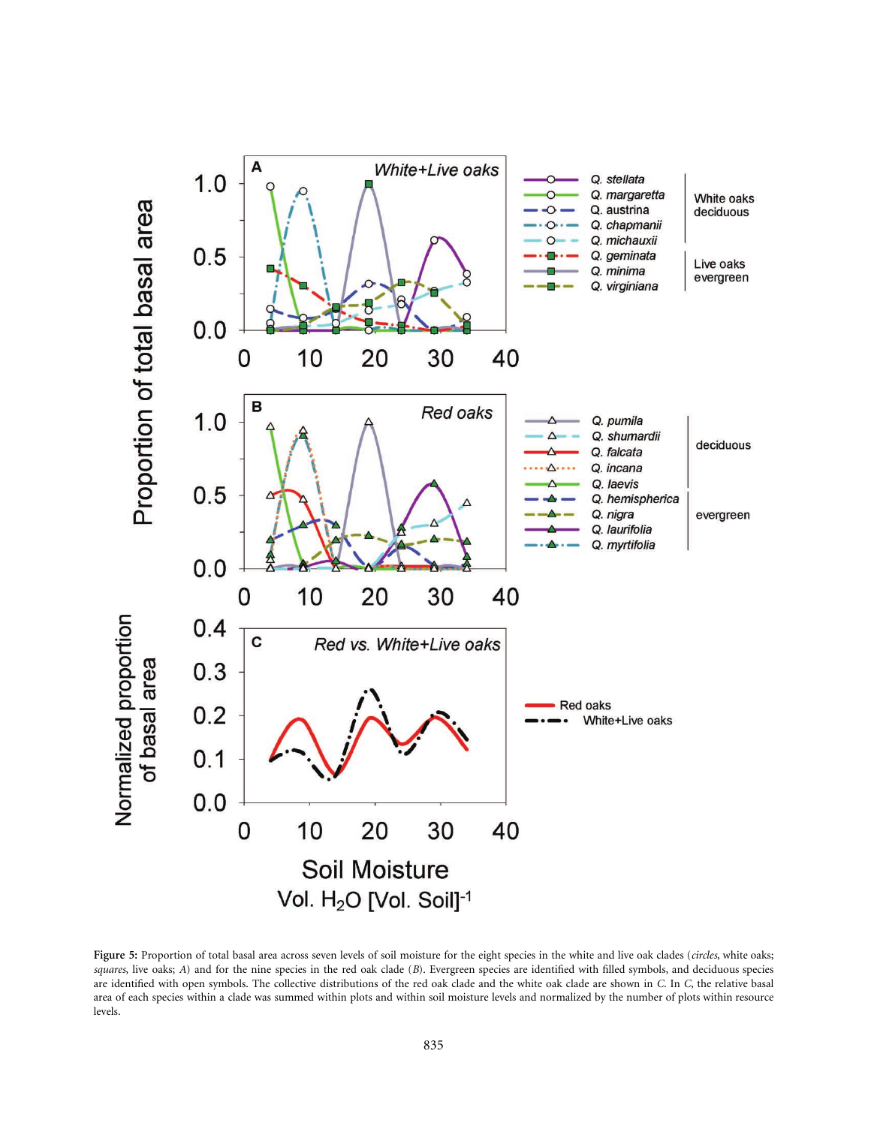

**Figure 5:** Proportion of total basal area across seven levels of soil moisture for the eight species in the white and live oak clades (*circles*, white oaks; *squares*, live oaks; *A*) and for the nine species in the red oak clade (*B*). Evergreen species are identified with filled symbols, and deciduous species are identified with open symbols. The collective distributions of the red oak clade and the white oak clade are shown in *C*. In *C*, the relative basal area of each species within a clade was summed within plots and within soil moisture levels and normalized by the number of plots within resource levels.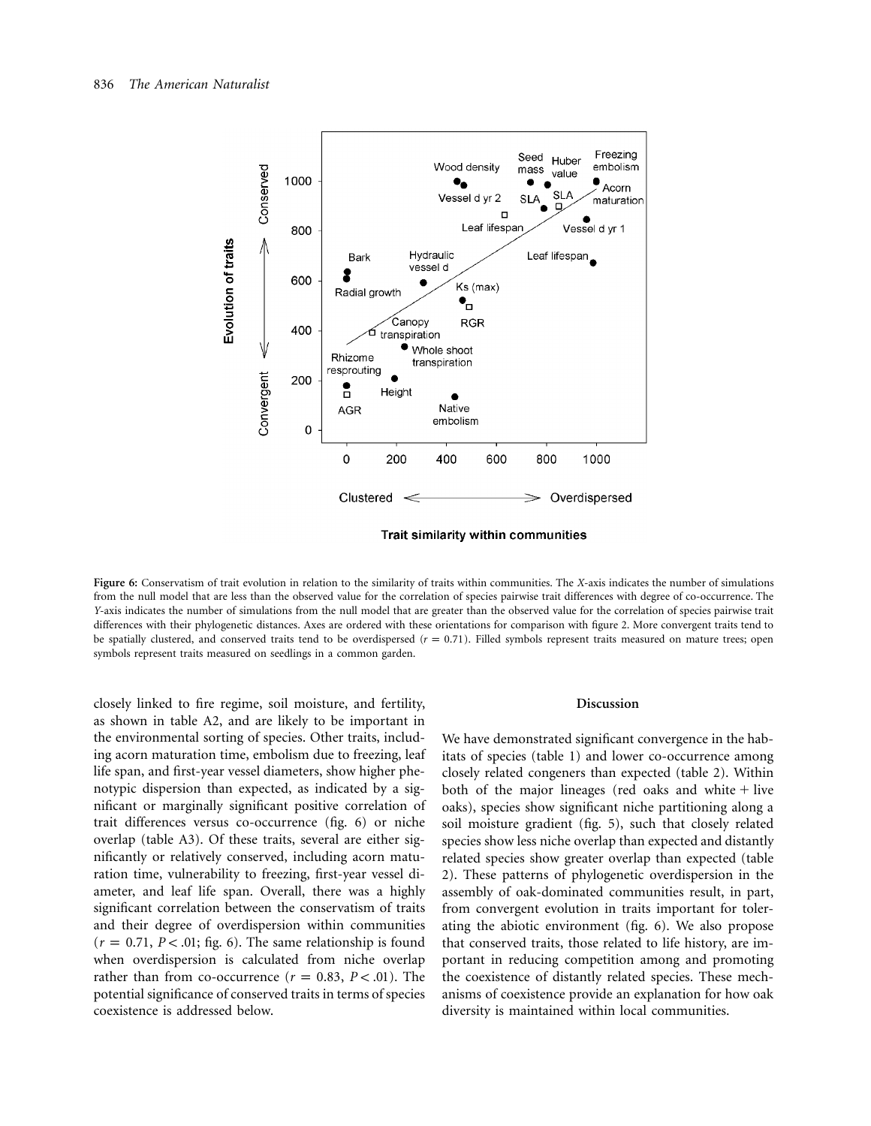

Trait similarity within communities

**Figure 6:** Conservatism of trait evolution in relation to the similarity of traits within communities. The *X*-axis indicates the number of simulations from the null model that are less than the observed value for the correlation of species pairwise trait differences with degree of co-occurrence. The *Y*-axis indicates the number of simulations from the null model that are greater than the observed value for the correlation of species pairwise trait differences with their phylogenetic distances. Axes are ordered with these orientations for comparison with figure 2. More convergent traits tend to be spatially clustered, and conserved traits tend to be overdispersed ( $r = 0.71$ ). Filled symbols represent traits measured on mature trees; open symbols represent traits measured on seedlings in a common garden.

closely linked to fire regime, soil moisture, and fertility, as shown in table A2, and are likely to be important in the environmental sorting of species. Other traits, including acorn maturation time, embolism due to freezing, leaf life span, and first-year vessel diameters, show higher phenotypic dispersion than expected, as indicated by a significant or marginally significant positive correlation of trait differences versus co-occurrence (fig. 6) or niche overlap (table A3). Of these traits, several are either significantly or relatively conserved, including acorn maturation time, vulnerability to freezing, first-year vessel diameter, and leaf life span. Overall, there was a highly significant correlation between the conservatism of traits and their degree of overdispersion within communities  $(r = 0.71, P < .01;$  fig. 6). The same relationship is found when overdispersion is calculated from niche overlap rather than from co-occurrence  $(r = 0.83, P < .01)$ . The potential significance of conserved traits in terms of species coexistence is addressed below.

# **Discussion**

We have demonstrated significant convergence in the habitats of species (table 1) and lower co-occurrence among closely related congeners than expected (table 2). Within both of the major lineages (red oaks and white  $+$  live oaks), species show significant niche partitioning along a soil moisture gradient (fig. 5), such that closely related species show less niche overlap than expected and distantly related species show greater overlap than expected (table 2). These patterns of phylogenetic overdispersion in the assembly of oak-dominated communities result, in part, from convergent evolution in traits important for tolerating the abiotic environment (fig. 6). We also propose that conserved traits, those related to life history, are important in reducing competition among and promoting the coexistence of distantly related species. These mechanisms of coexistence provide an explanation for how oak diversity is maintained within local communities.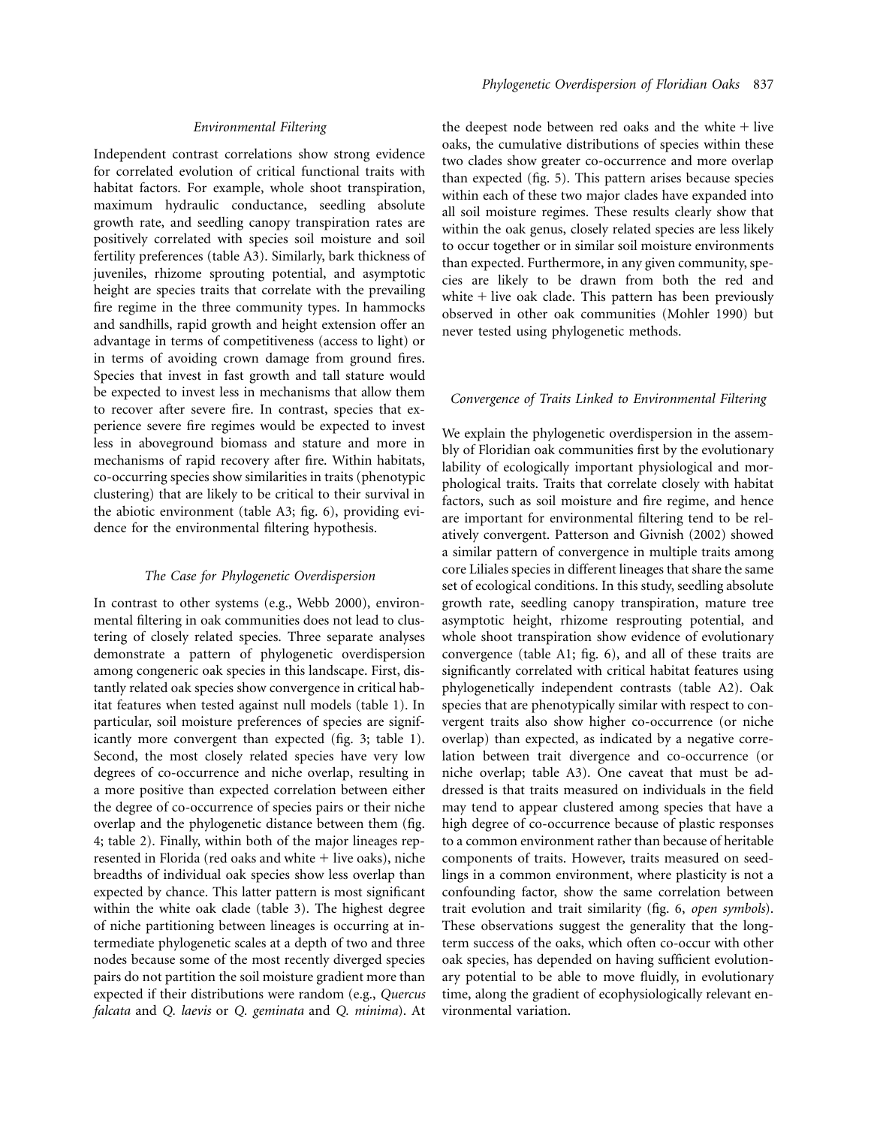# *Environmental Filtering*

Independent contrast correlations show strong evidence for correlated evolution of critical functional traits with habitat factors. For example, whole shoot transpiration, maximum hydraulic conductance, seedling absolute growth rate, and seedling canopy transpiration rates are positively correlated with species soil moisture and soil fertility preferences (table A3). Similarly, bark thickness of juveniles, rhizome sprouting potential, and asymptotic height are species traits that correlate with the prevailing fire regime in the three community types. In hammocks and sandhills, rapid growth and height extension offer an advantage in terms of competitiveness (access to light) or in terms of avoiding crown damage from ground fires. Species that invest in fast growth and tall stature would be expected to invest less in mechanisms that allow them to recover after severe fire. In contrast, species that experience severe fire regimes would be expected to invest less in aboveground biomass and stature and more in mechanisms of rapid recovery after fire. Within habitats, co-occurring species show similarities in traits (phenotypic clustering) that are likely to be critical to their survival in the abiotic environment (table A3; fig. 6), providing evidence for the environmental filtering hypothesis.

# *The Case for Phylogenetic Overdispersion*

In contrast to other systems (e.g., Webb 2000), environmental filtering in oak communities does not lead to clustering of closely related species. Three separate analyses demonstrate a pattern of phylogenetic overdispersion among congeneric oak species in this landscape. First, distantly related oak species show convergence in critical habitat features when tested against null models (table 1). In particular, soil moisture preferences of species are significantly more convergent than expected (fig. 3; table 1). Second, the most closely related species have very low degrees of co-occurrence and niche overlap, resulting in a more positive than expected correlation between either the degree of co-occurrence of species pairs or their niche overlap and the phylogenetic distance between them (fig. 4; table 2). Finally, within both of the major lineages represented in Florida (red oaks and white  $+$  live oaks), niche breadths of individual oak species show less overlap than expected by chance. This latter pattern is most significant within the white oak clade (table 3). The highest degree of niche partitioning between lineages is occurring at intermediate phylogenetic scales at a depth of two and three nodes because some of the most recently diverged species pairs do not partition the soil moisture gradient more than expected if their distributions were random (e.g., *Quercus falcata* and *Q. laevis* or *Q. geminata* and *Q. minima*). At the deepest node between red oaks and the white  $+$  live oaks, the cumulative distributions of species within these two clades show greater co-occurrence and more overlap than expected (fig. 5). This pattern arises because species within each of these two major clades have expanded into all soil moisture regimes. These results clearly show that within the oak genus, closely related species are less likely to occur together or in similar soil moisture environments than expected. Furthermore, in any given community, species are likely to be drawn from both the red and white  $+$  live oak clade. This pattern has been previously observed in other oak communities (Mohler 1990) but never tested using phylogenetic methods.

# *Convergence of Traits Linked to Environmental Filtering*

We explain the phylogenetic overdispersion in the assembly of Floridian oak communities first by the evolutionary lability of ecologically important physiological and morphological traits. Traits that correlate closely with habitat factors, such as soil moisture and fire regime, and hence are important for environmental filtering tend to be relatively convergent. Patterson and Givnish (2002) showed a similar pattern of convergence in multiple traits among core Liliales species in different lineages that share the same set of ecological conditions. In this study, seedling absolute growth rate, seedling canopy transpiration, mature tree asymptotic height, rhizome resprouting potential, and whole shoot transpiration show evidence of evolutionary convergence (table A1; fig. 6), and all of these traits are significantly correlated with critical habitat features using phylogenetically independent contrasts (table A2). Oak species that are phenotypically similar with respect to convergent traits also show higher co-occurrence (or niche overlap) than expected, as indicated by a negative correlation between trait divergence and co-occurrence (or niche overlap; table A3). One caveat that must be addressed is that traits measured on individuals in the field may tend to appear clustered among species that have a high degree of co-occurrence because of plastic responses to a common environment rather than because of heritable components of traits. However, traits measured on seedlings in a common environment, where plasticity is not a confounding factor, show the same correlation between trait evolution and trait similarity (fig. 6, *open symbols*). These observations suggest the generality that the longterm success of the oaks, which often co-occur with other oak species, has depended on having sufficient evolutionary potential to be able to move fluidly, in evolutionary time, along the gradient of ecophysiologically relevant environmental variation.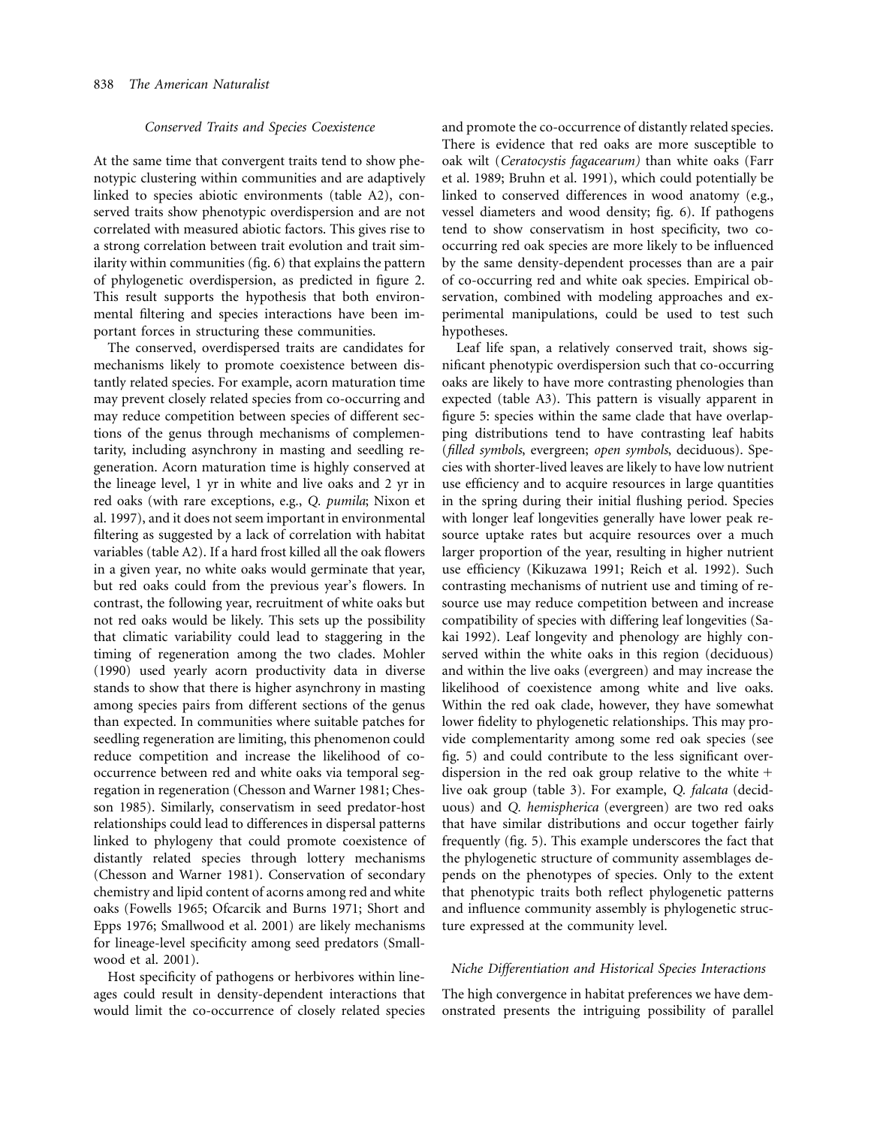# *Conserved Traits and Species Coexistence*

At the same time that convergent traits tend to show phenotypic clustering within communities and are adaptively linked to species abiotic environments (table A2), conserved traits show phenotypic overdispersion and are not correlated with measured abiotic factors. This gives rise to a strong correlation between trait evolution and trait similarity within communities (fig. 6) that explains the pattern of phylogenetic overdispersion, as predicted in figure 2. This result supports the hypothesis that both environmental filtering and species interactions have been important forces in structuring these communities.

The conserved, overdispersed traits are candidates for mechanisms likely to promote coexistence between distantly related species. For example, acorn maturation time may prevent closely related species from co-occurring and may reduce competition between species of different sections of the genus through mechanisms of complementarity, including asynchrony in masting and seedling regeneration. Acorn maturation time is highly conserved at the lineage level, 1 yr in white and live oaks and 2 yr in red oaks (with rare exceptions, e.g., *Q. pumila*; Nixon et al. 1997), and it does not seem important in environmental filtering as suggested by a lack of correlation with habitat variables (table A2). If a hard frost killed all the oak flowers in a given year, no white oaks would germinate that year, but red oaks could from the previous year's flowers. In contrast, the following year, recruitment of white oaks but not red oaks would be likely. This sets up the possibility that climatic variability could lead to staggering in the timing of regeneration among the two clades. Mohler (1990) used yearly acorn productivity data in diverse stands to show that there is higher asynchrony in masting among species pairs from different sections of the genus than expected. In communities where suitable patches for seedling regeneration are limiting, this phenomenon could reduce competition and increase the likelihood of cooccurrence between red and white oaks via temporal segregation in regeneration (Chesson and Warner 1981; Chesson 1985). Similarly, conservatism in seed predator-host relationships could lead to differences in dispersal patterns linked to phylogeny that could promote coexistence of distantly related species through lottery mechanisms (Chesson and Warner 1981). Conservation of secondary chemistry and lipid content of acorns among red and white oaks (Fowells 1965; Ofcarcik and Burns 1971; Short and Epps 1976; Smallwood et al. 2001) are likely mechanisms for lineage-level specificity among seed predators (Smallwood et al. 2001).

Host specificity of pathogens or herbivores within lineages could result in density-dependent interactions that would limit the co-occurrence of closely related species and promote the co-occurrence of distantly related species. There is evidence that red oaks are more susceptible to oak wilt (*Ceratocystis fagacearum)* than white oaks (Farr et al. 1989; Bruhn et al. 1991), which could potentially be linked to conserved differences in wood anatomy (e.g., vessel diameters and wood density; fig. 6). If pathogens tend to show conservatism in host specificity, two cooccurring red oak species are more likely to be influenced by the same density-dependent processes than are a pair of co-occurring red and white oak species. Empirical observation, combined with modeling approaches and experimental manipulations, could be used to test such hypotheses.

Leaf life span, a relatively conserved trait, shows significant phenotypic overdispersion such that co-occurring oaks are likely to have more contrasting phenologies than expected (table A3). This pattern is visually apparent in figure 5: species within the same clade that have overlapping distributions tend to have contrasting leaf habits (*filled symbols*, evergreen; *open symbols*, deciduous). Species with shorter-lived leaves are likely to have low nutrient use efficiency and to acquire resources in large quantities in the spring during their initial flushing period. Species with longer leaf longevities generally have lower peak resource uptake rates but acquire resources over a much larger proportion of the year, resulting in higher nutrient use efficiency (Kikuzawa 1991; Reich et al. 1992). Such contrasting mechanisms of nutrient use and timing of resource use may reduce competition between and increase compatibility of species with differing leaf longevities (Sakai 1992). Leaf longevity and phenology are highly conserved within the white oaks in this region (deciduous) and within the live oaks (evergreen) and may increase the likelihood of coexistence among white and live oaks. Within the red oak clade, however, they have somewhat lower fidelity to phylogenetic relationships. This may provide complementarity among some red oak species (see fig. 5) and could contribute to the less significant overdispersion in the red oak group relative to the white  $+$ live oak group (table 3). For example, *Q. falcata* (deciduous) and *Q. hemispherica* (evergreen) are two red oaks that have similar distributions and occur together fairly frequently (fig. 5). This example underscores the fact that the phylogenetic structure of community assemblages depends on the phenotypes of species. Only to the extent that phenotypic traits both reflect phylogenetic patterns and influence community assembly is phylogenetic structure expressed at the community level.

# *Niche Differentiation and Historical Species Interactions*

The high convergence in habitat preferences we have demonstrated presents the intriguing possibility of parallel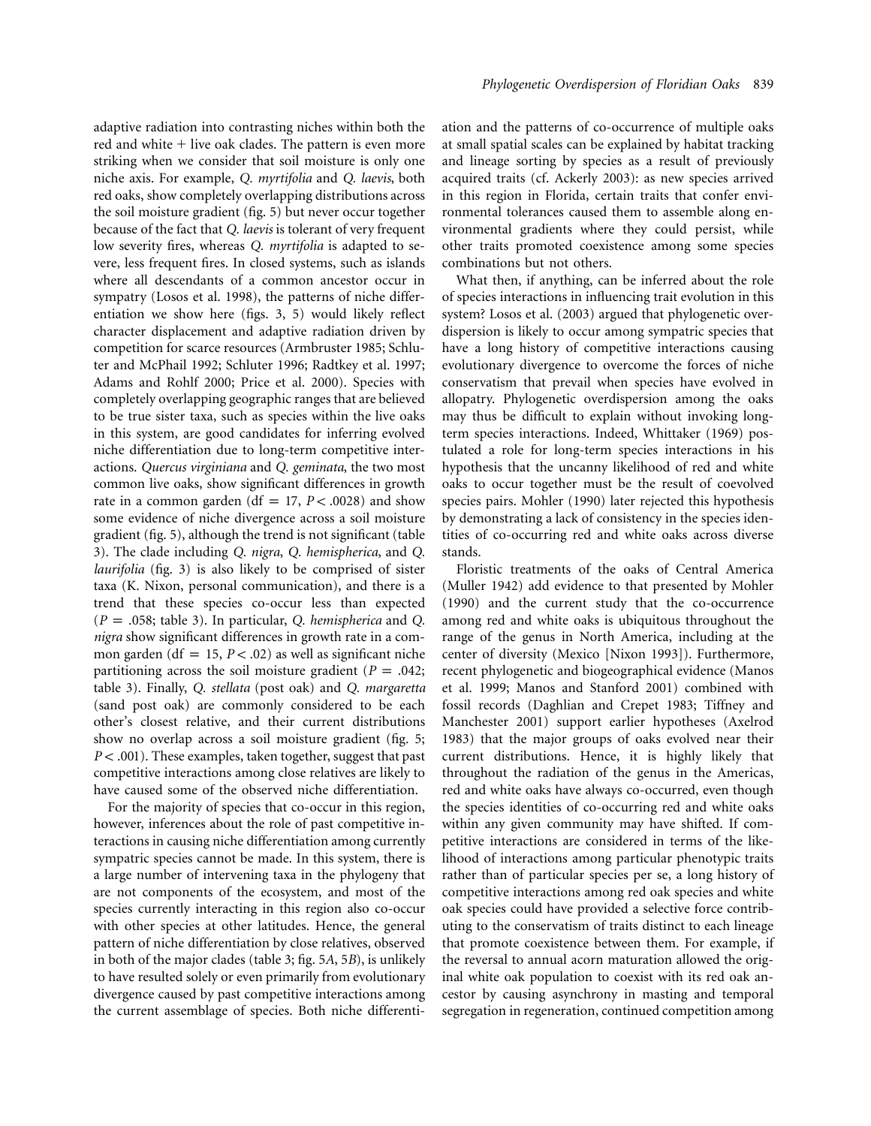adaptive radiation into contrasting niches within both the red and white  $+$  live oak clades. The pattern is even more striking when we consider that soil moisture is only one niche axis. For example, *Q. myrtifolia* and *Q. laevis*, both red oaks, show completely overlapping distributions across the soil moisture gradient (fig. 5) but never occur together because of the fact that *Q. laevis* is tolerant of very frequent low severity fires, whereas *Q. myrtifolia* is adapted to severe, less frequent fires. In closed systems, such as islands where all descendants of a common ancestor occur in sympatry (Losos et al. 1998), the patterns of niche differentiation we show here (figs. 3, 5) would likely reflect character displacement and adaptive radiation driven by competition for scarce resources (Armbruster 1985; Schluter and McPhail 1992; Schluter 1996; Radtkey et al. 1997; Adams and Rohlf 2000; Price et al. 2000). Species with completely overlapping geographic ranges that are believed to be true sister taxa, such as species within the live oaks in this system, are good candidates for inferring evolved niche differentiation due to long-term competitive interactions. *Quercus virginiana* and *Q. geminata*, the two most common live oaks, show significant differences in growth rate in a common garden ( $df = 17$ ,  $P < .0028$ ) and show some evidence of niche divergence across a soil moisture gradient (fig. 5), although the trend is not significant (table 3). The clade including *Q. nigra*, *Q. hemispherica*, and *Q. laurifolia* (fig. 3) is also likely to be comprised of sister taxa (K. Nixon, personal communication), and there is a trend that these species co-occur less than expected  $(P = .058;$  table 3). In particular, *Q. hemispherica* and *Q. nigra* show significant differences in growth rate in a common garden ( $df = 15$ ,  $P < .02$ ) as well as significant niche partitioning across the soil moisture gradient ( $P = .042$ ; table 3). Finally, *Q. stellata* (post oak) and *Q. margaretta* (sand post oak) are commonly considered to be each other's closest relative, and their current distributions show no overlap across a soil moisture gradient (fig. 5;  $P < .001$ ). These examples, taken together, suggest that past competitive interactions among close relatives are likely to have caused some of the observed niche differentiation.

For the majority of species that co-occur in this region, however, inferences about the role of past competitive interactions in causing niche differentiation among currently sympatric species cannot be made. In this system, there is a large number of intervening taxa in the phylogeny that are not components of the ecosystem, and most of the species currently interacting in this region also co-occur with other species at other latitudes. Hence, the general pattern of niche differentiation by close relatives, observed in both of the major clades (table 3; fig. 5*A*, 5*B*), is unlikely to have resulted solely or even primarily from evolutionary divergence caused by past competitive interactions among the current assemblage of species. Both niche differentiation and the patterns of co-occurrence of multiple oaks at small spatial scales can be explained by habitat tracking and lineage sorting by species as a result of previously acquired traits (cf. Ackerly 2003): as new species arrived in this region in Florida, certain traits that confer environmental tolerances caused them to assemble along environmental gradients where they could persist, while other traits promoted coexistence among some species combinations but not others.

What then, if anything, can be inferred about the role of species interactions in influencing trait evolution in this system? Losos et al. (2003) argued that phylogenetic overdispersion is likely to occur among sympatric species that have a long history of competitive interactions causing evolutionary divergence to overcome the forces of niche conservatism that prevail when species have evolved in allopatry. Phylogenetic overdispersion among the oaks may thus be difficult to explain without invoking longterm species interactions. Indeed, Whittaker (1969) postulated a role for long-term species interactions in his hypothesis that the uncanny likelihood of red and white oaks to occur together must be the result of coevolved species pairs. Mohler (1990) later rejected this hypothesis by demonstrating a lack of consistency in the species identities of co-occurring red and white oaks across diverse stands.

Floristic treatments of the oaks of Central America (Muller 1942) add evidence to that presented by Mohler (1990) and the current study that the co-occurrence among red and white oaks is ubiquitous throughout the range of the genus in North America, including at the center of diversity (Mexico [Nixon 1993]). Furthermore, recent phylogenetic and biogeographical evidence (Manos et al. 1999; Manos and Stanford 2001) combined with fossil records (Daghlian and Crepet 1983; Tiffney and Manchester 2001) support earlier hypotheses (Axelrod 1983) that the major groups of oaks evolved near their current distributions. Hence, it is highly likely that throughout the radiation of the genus in the Americas, red and white oaks have always co-occurred, even though the species identities of co-occurring red and white oaks within any given community may have shifted. If competitive interactions are considered in terms of the likelihood of interactions among particular phenotypic traits rather than of particular species per se, a long history of competitive interactions among red oak species and white oak species could have provided a selective force contributing to the conservatism of traits distinct to each lineage that promote coexistence between them. For example, if the reversal to annual acorn maturation allowed the original white oak population to coexist with its red oak ancestor by causing asynchrony in masting and temporal segregation in regeneration, continued competition among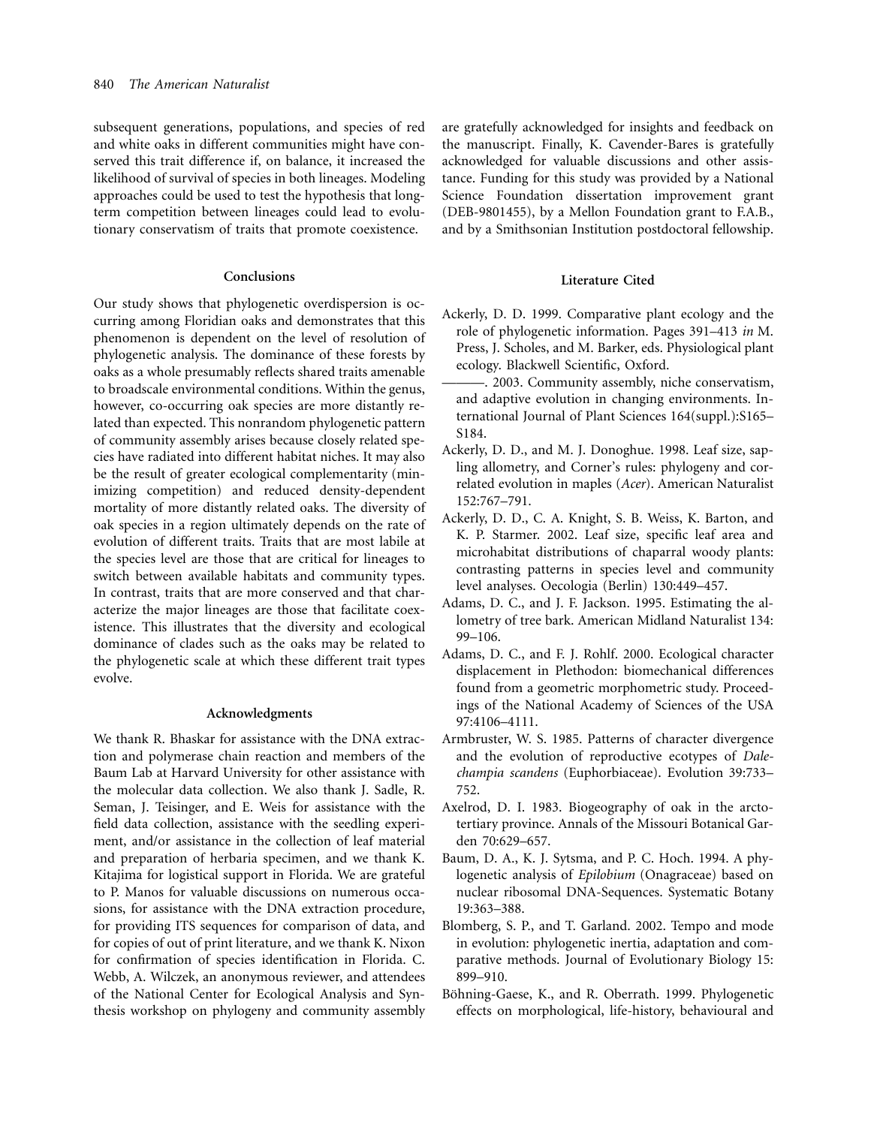subsequent generations, populations, and species of red and white oaks in different communities might have conserved this trait difference if, on balance, it increased the likelihood of survival of species in both lineages. Modeling approaches could be used to test the hypothesis that longterm competition between lineages could lead to evolutionary conservatism of traits that promote coexistence.

#### **Conclusions**

Our study shows that phylogenetic overdispersion is occurring among Floridian oaks and demonstrates that this phenomenon is dependent on the level of resolution of phylogenetic analysis. The dominance of these forests by oaks as a whole presumably reflects shared traits amenable to broadscale environmental conditions. Within the genus, however, co-occurring oak species are more distantly related than expected. This nonrandom phylogenetic pattern of community assembly arises because closely related species have radiated into different habitat niches. It may also be the result of greater ecological complementarity (minimizing competition) and reduced density-dependent mortality of more distantly related oaks. The diversity of oak species in a region ultimately depends on the rate of evolution of different traits. Traits that are most labile at the species level are those that are critical for lineages to switch between available habitats and community types. In contrast, traits that are more conserved and that characterize the major lineages are those that facilitate coexistence. This illustrates that the diversity and ecological dominance of clades such as the oaks may be related to the phylogenetic scale at which these different trait types evolve.

## **Acknowledgments**

We thank R. Bhaskar for assistance with the DNA extraction and polymerase chain reaction and members of the Baum Lab at Harvard University for other assistance with the molecular data collection. We also thank J. Sadle, R. Seman, J. Teisinger, and E. Weis for assistance with the field data collection, assistance with the seedling experiment, and/or assistance in the collection of leaf material and preparation of herbaria specimen, and we thank K. Kitajima for logistical support in Florida. We are grateful to P. Manos for valuable discussions on numerous occasions, for assistance with the DNA extraction procedure, for providing ITS sequences for comparison of data, and for copies of out of print literature, and we thank K. Nixon for confirmation of species identification in Florida. C. Webb, A. Wilczek, an anonymous reviewer, and attendees of the National Center for Ecological Analysis and Synthesis workshop on phylogeny and community assembly are gratefully acknowledged for insights and feedback on the manuscript. Finally, K. Cavender-Bares is gratefully acknowledged for valuable discussions and other assistance. Funding for this study was provided by a National Science Foundation dissertation improvement grant (DEB-9801455), by a Mellon Foundation grant to F.A.B., and by a Smithsonian Institution postdoctoral fellowship.

# **Literature Cited**

- Ackerly, D. D. 1999. Comparative plant ecology and the role of phylogenetic information. Pages 391–413 *in* M. Press, J. Scholes, and M. Barker, eds. Physiological plant ecology. Blackwell Scientific, Oxford.
- ———. 2003. Community assembly, niche conservatism, and adaptive evolution in changing environments. International Journal of Plant Sciences 164(suppl.):S165– S184.
- Ackerly, D. D., and M. J. Donoghue. 1998. Leaf size, sapling allometry, and Corner's rules: phylogeny and correlated evolution in maples (*Acer*). American Naturalist 152:767–791.
- Ackerly, D. D., C. A. Knight, S. B. Weiss, K. Barton, and K. P. Starmer. 2002. Leaf size, specific leaf area and microhabitat distributions of chaparral woody plants: contrasting patterns in species level and community level analyses. Oecologia (Berlin) 130:449–457.
- Adams, D. C., and J. F. Jackson. 1995. Estimating the allometry of tree bark. American Midland Naturalist 134: 99–106.
- Adams, D. C., and F. J. Rohlf. 2000. Ecological character displacement in Plethodon: biomechanical differences found from a geometric morphometric study. Proceedings of the National Academy of Sciences of the USA 97:4106–4111.
- Armbruster, W. S. 1985. Patterns of character divergence and the evolution of reproductive ecotypes of *Dalechampia scandens* (Euphorbiaceae). Evolution 39:733– 752.
- Axelrod, D. I. 1983. Biogeography of oak in the arctotertiary province. Annals of the Missouri Botanical Garden 70:629–657.
- Baum, D. A., K. J. Sytsma, and P. C. Hoch. 1994. A phylogenetic analysis of *Epilobium* (Onagraceae) based on nuclear ribosomal DNA-Sequences. Systematic Botany 19:363–388.
- Blomberg, S. P., and T. Garland. 2002. Tempo and mode in evolution: phylogenetic inertia, adaptation and comparative methods. Journal of Evolutionary Biology 15: 899–910.
- Böhning-Gaese, K., and R. Oberrath. 1999. Phylogenetic effects on morphological, life-history, behavioural and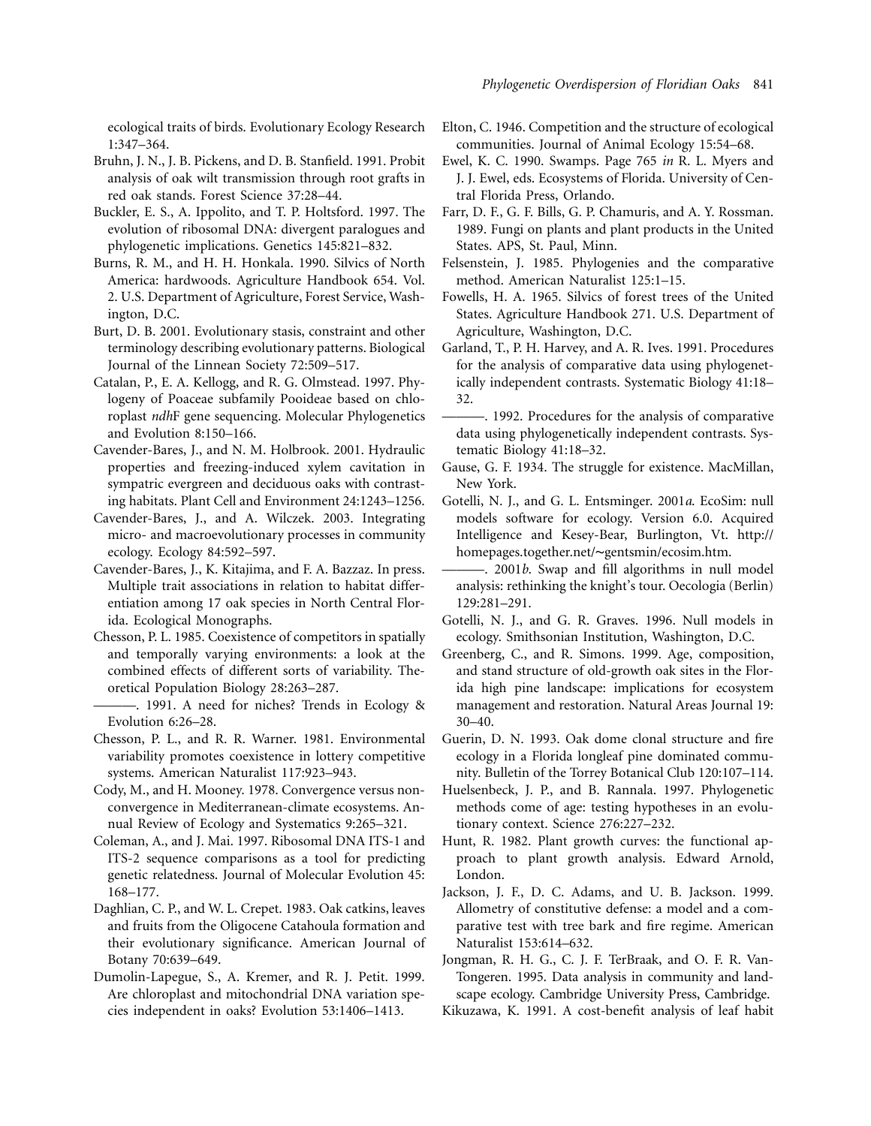ecological traits of birds. Evolutionary Ecology Research 1:347–364.

- Bruhn, J. N., J. B. Pickens, and D. B. Stanfield. 1991. Probit analysis of oak wilt transmission through root grafts in red oak stands. Forest Science 37:28–44.
- Buckler, E. S., A. Ippolito, and T. P. Holtsford. 1997. The evolution of ribosomal DNA: divergent paralogues and phylogenetic implications. Genetics 145:821–832.
- Burns, R. M., and H. H. Honkala. 1990. Silvics of North America: hardwoods. Agriculture Handbook 654. Vol. 2. U.S. Department of Agriculture, Forest Service, Washington, D.C.
- Burt, D. B. 2001. Evolutionary stasis, constraint and other terminology describing evolutionary patterns. Biological Journal of the Linnean Society 72:509–517.
- Catalan, P., E. A. Kellogg, and R. G. Olmstead. 1997. Phylogeny of Poaceae subfamily Pooideae based on chloroplast *ndh*F gene sequencing. Molecular Phylogenetics and Evolution 8:150–166.
- Cavender-Bares, J., and N. M. Holbrook. 2001. Hydraulic properties and freezing-induced xylem cavitation in sympatric evergreen and deciduous oaks with contrasting habitats. Plant Cell and Environment 24:1243–1256.
- Cavender-Bares, J., and A. Wilczek. 2003. Integrating micro- and macroevolutionary processes in community ecology. Ecology 84:592–597.
- Cavender-Bares, J., K. Kitajima, and F. A. Bazzaz. In press. Multiple trait associations in relation to habitat differentiation among 17 oak species in North Central Florida. Ecological Monographs.
- Chesson, P. L. 1985. Coexistence of competitors in spatially and temporally varying environments: a look at the combined effects of different sorts of variability. Theoretical Population Biology 28:263–287.
- ———. 1991. A need for niches? Trends in Ecology & Evolution 6:26–28.
- Chesson, P. L., and R. R. Warner. 1981. Environmental variability promotes coexistence in lottery competitive systems. American Naturalist 117:923–943.
- Cody, M., and H. Mooney. 1978. Convergence versus nonconvergence in Mediterranean-climate ecosystems. Annual Review of Ecology and Systematics 9:265–321.
- Coleman, A., and J. Mai. 1997. Ribosomal DNA ITS-1 and ITS-2 sequence comparisons as a tool for predicting genetic relatedness. Journal of Molecular Evolution 45: 168–177.
- Daghlian, C. P., and W. L. Crepet. 1983. Oak catkins, leaves and fruits from the Oligocene Catahoula formation and their evolutionary significance. American Journal of Botany 70:639–649.
- Dumolin-Lapegue, S., A. Kremer, and R. J. Petit. 1999. Are chloroplast and mitochondrial DNA variation species independent in oaks? Evolution 53:1406–1413.
- Elton, C. 1946. Competition and the structure of ecological communities. Journal of Animal Ecology 15:54–68.
- Ewel, K. C. 1990. Swamps. Page 765 *in* R. L. Myers and J. J. Ewel, eds. Ecosystems of Florida. University of Central Florida Press, Orlando.
- Farr, D. F., G. F. Bills, G. P. Chamuris, and A. Y. Rossman. 1989. Fungi on plants and plant products in the United States. APS, St. Paul, Minn.
- Felsenstein, J. 1985. Phylogenies and the comparative method. American Naturalist 125:1–15.
- Fowells, H. A. 1965. Silvics of forest trees of the United States. Agriculture Handbook 271. U.S. Department of Agriculture, Washington, D.C.
- Garland, T., P. H. Harvey, and A. R. Ives. 1991. Procedures for the analysis of comparative data using phylogenetically independent contrasts. Systematic Biology 41:18– 32.
- ———. 1992. Procedures for the analysis of comparative data using phylogenetically independent contrasts. Systematic Biology 41:18–32.
- Gause, G. F. 1934. The struggle for existence. MacMillan, New York.
- Gotelli, N. J., and G. L. Entsminger. 2001*a*. EcoSim: null models software for ecology. Version 6.0. Acquired Intelligence and Kesey-Bear, Burlington, Vt. http:// homepages.together.net/∼gentsmin/ecosim.htm.
- ———. 2001*b*. Swap and fill algorithms in null model analysis: rethinking the knight's tour. Oecologia (Berlin) 129:281–291.
- Gotelli, N. J., and G. R. Graves. 1996. Null models in ecology. Smithsonian Institution, Washington, D.C.
- Greenberg, C., and R. Simons. 1999. Age, composition, and stand structure of old-growth oak sites in the Florida high pine landscape: implications for ecosystem management and restoration. Natural Areas Journal 19: 30–40.
- Guerin, D. N. 1993. Oak dome clonal structure and fire ecology in a Florida longleaf pine dominated community. Bulletin of the Torrey Botanical Club 120:107–114.
- Huelsenbeck, J. P., and B. Rannala. 1997. Phylogenetic methods come of age: testing hypotheses in an evolutionary context. Science 276:227–232.
- Hunt, R. 1982. Plant growth curves: the functional approach to plant growth analysis. Edward Arnold, London.
- Jackson, J. F., D. C. Adams, and U. B. Jackson. 1999. Allometry of constitutive defense: a model and a comparative test with tree bark and fire regime. American Naturalist 153:614–632.
- Jongman, R. H. G., C. J. F. TerBraak, and O. F. R. Van-Tongeren. 1995. Data analysis in community and landscape ecology. Cambridge University Press, Cambridge.
- Kikuzawa, K. 1991. A cost-benefit analysis of leaf habit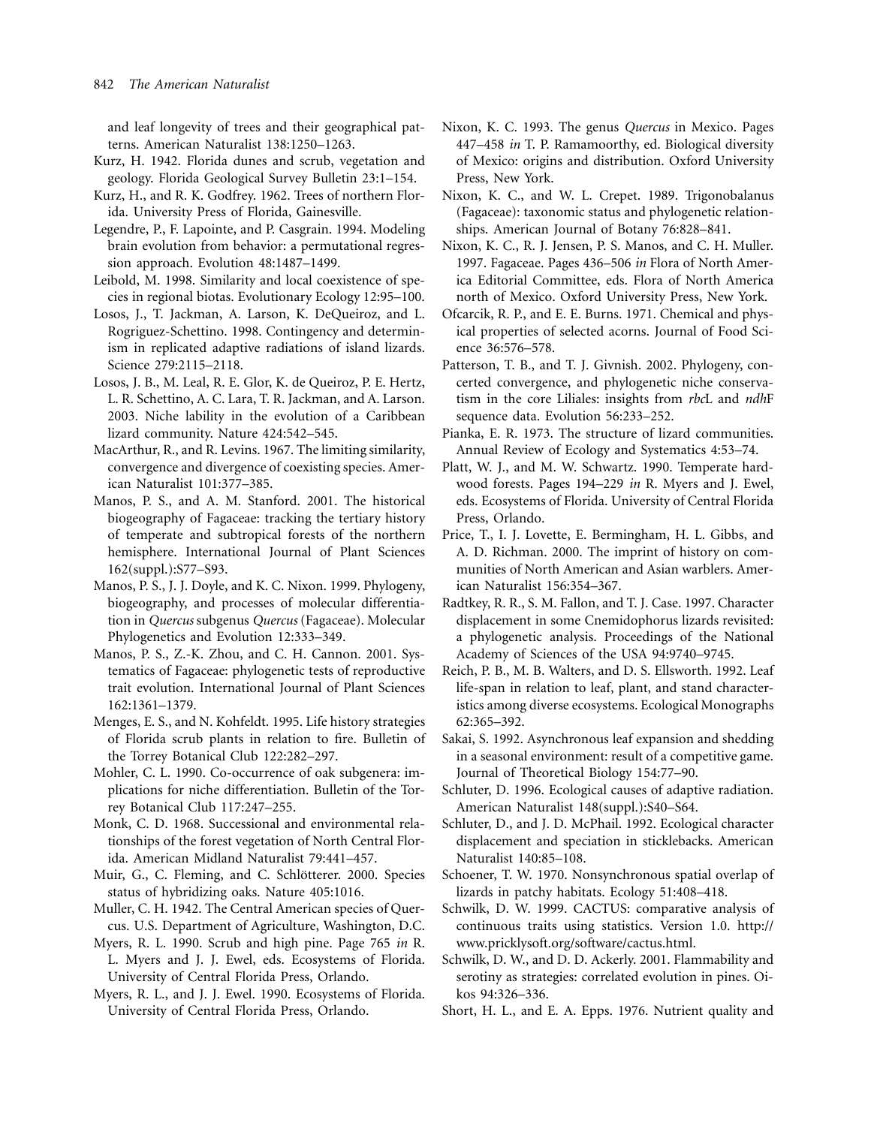and leaf longevity of trees and their geographical patterns. American Naturalist 138:1250–1263.

- Kurz, H. 1942. Florida dunes and scrub, vegetation and geology. Florida Geological Survey Bulletin 23:1–154.
- Kurz, H., and R. K. Godfrey. 1962. Trees of northern Florida. University Press of Florida, Gainesville.
- Legendre, P., F. Lapointe, and P. Casgrain. 1994. Modeling brain evolution from behavior: a permutational regression approach. Evolution 48:1487–1499.
- Leibold, M. 1998. Similarity and local coexistence of species in regional biotas. Evolutionary Ecology 12:95–100.
- Losos, J., T. Jackman, A. Larson, K. DeQueiroz, and L. Rogriguez-Schettino. 1998. Contingency and determinism in replicated adaptive radiations of island lizards. Science 279:2115–2118.
- Losos, J. B., M. Leal, R. E. Glor, K. de Queiroz, P. E. Hertz, L. R. Schettino, A. C. Lara, T. R. Jackman, and A. Larson. 2003. Niche lability in the evolution of a Caribbean lizard community. Nature 424:542–545.
- MacArthur, R., and R. Levins. 1967. The limiting similarity, convergence and divergence of coexisting species. American Naturalist 101:377–385.
- Manos, P. S., and A. M. Stanford. 2001. The historical biogeography of Fagaceae: tracking the tertiary history of temperate and subtropical forests of the northern hemisphere. International Journal of Plant Sciences 162(suppl.):S77–S93.
- Manos, P. S., J. J. Doyle, and K. C. Nixon. 1999. Phylogeny, biogeography, and processes of molecular differentiation in *Quercus* subgenus *Quercus* (Fagaceae). Molecular Phylogenetics and Evolution 12:333–349.
- Manos, P. S., Z.-K. Zhou, and C. H. Cannon. 2001. Systematics of Fagaceae: phylogenetic tests of reproductive trait evolution. International Journal of Plant Sciences 162:1361–1379.
- Menges, E. S., and N. Kohfeldt. 1995. Life history strategies of Florida scrub plants in relation to fire. Bulletin of the Torrey Botanical Club 122:282–297.
- Mohler, C. L. 1990. Co-occurrence of oak subgenera: implications for niche differentiation. Bulletin of the Torrey Botanical Club 117:247–255.
- Monk, C. D. 1968. Successional and environmental relationships of the forest vegetation of North Central Florida. American Midland Naturalist 79:441–457.
- Muir, G., C. Fleming, and C. Schlötterer. 2000. Species status of hybridizing oaks. Nature 405:1016.
- Muller, C. H. 1942. The Central American species of Quercus. U.S. Department of Agriculture, Washington, D.C.
- Myers, R. L. 1990. Scrub and high pine. Page 765 *in* R. L. Myers and J. J. Ewel, eds. Ecosystems of Florida. University of Central Florida Press, Orlando.
- Myers, R. L., and J. J. Ewel. 1990. Ecosystems of Florida. University of Central Florida Press, Orlando.
- Nixon, K. C. 1993. The genus *Quercus* in Mexico. Pages 447–458 *in* T. P. Ramamoorthy, ed. Biological diversity of Mexico: origins and distribution. Oxford University Press, New York.
- Nixon, K. C., and W. L. Crepet. 1989. Trigonobalanus (Fagaceae): taxonomic status and phylogenetic relationships. American Journal of Botany 76:828–841.
- Nixon, K. C., R. J. Jensen, P. S. Manos, and C. H. Muller. 1997. Fagaceae. Pages 436–506 *in* Flora of North America Editorial Committee, eds. Flora of North America north of Mexico. Oxford University Press, New York.
- Ofcarcik, R. P., and E. E. Burns. 1971. Chemical and physical properties of selected acorns. Journal of Food Science 36:576–578.
- Patterson, T. B., and T. J. Givnish. 2002. Phylogeny, concerted convergence, and phylogenetic niche conservatism in the core Liliales: insights from *rbc*L and *ndh*F sequence data. Evolution 56:233–252.
- Pianka, E. R. 1973. The structure of lizard communities. Annual Review of Ecology and Systematics 4:53–74.
- Platt, W. J., and M. W. Schwartz. 1990. Temperate hardwood forests. Pages 194–229 *in* R. Myers and J. Ewel, eds. Ecosystems of Florida. University of Central Florida Press, Orlando.
- Price, T., I. J. Lovette, E. Bermingham, H. L. Gibbs, and A. D. Richman. 2000. The imprint of history on communities of North American and Asian warblers. American Naturalist 156:354–367.
- Radtkey, R. R., S. M. Fallon, and T. J. Case. 1997. Character displacement in some Cnemidophorus lizards revisited: a phylogenetic analysis. Proceedings of the National Academy of Sciences of the USA 94:9740–9745.
- Reich, P. B., M. B. Walters, and D. S. Ellsworth. 1992. Leaf life-span in relation to leaf, plant, and stand characteristics among diverse ecosystems. Ecological Monographs 62:365–392.
- Sakai, S. 1992. Asynchronous leaf expansion and shedding in a seasonal environment: result of a competitive game. Journal of Theoretical Biology 154:77–90.
- Schluter, D. 1996. Ecological causes of adaptive radiation. American Naturalist 148(suppl.):S40–S64.
- Schluter, D., and J. D. McPhail. 1992. Ecological character displacement and speciation in sticklebacks. American Naturalist 140:85–108.
- Schoener, T. W. 1970. Nonsynchronous spatial overlap of lizards in patchy habitats. Ecology 51:408–418.
- Schwilk, D. W. 1999. CACTUS: comparative analysis of continuous traits using statistics. Version 1.0. http:// www.pricklysoft.org/software/cactus.html.
- Schwilk, D. W., and D. D. Ackerly. 2001. Flammability and serotiny as strategies: correlated evolution in pines. Oikos 94:326–336.
- Short, H. L., and E. A. Epps. 1976. Nutrient quality and